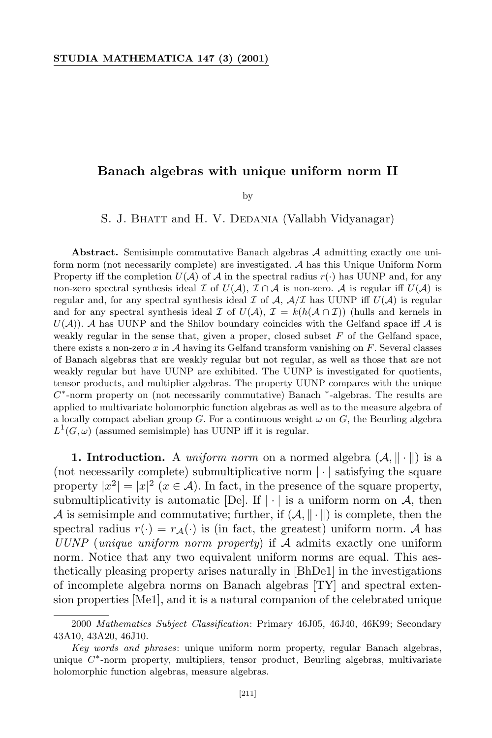## **Banach algebras with unique uniform norm II**

by

S. J. BHATT and H. V. DEDANIA (Vallabh Vidyanagar)

**Abstract.** Semisimple commutative Banach algebras *A* admitting exactly one uniform norm (not necessarily complete) are investigated. *A* has this Unique Uniform Norm Property iff the completion  $U(A)$  of A in the spectral radius  $r(\cdot)$  has UUNP and, for any non-zero spectral synthesis ideal *I* of  $U(A)$ ,  $\mathcal{I} \cap \mathcal{A}$  is non-zero. A is regular iff  $U(A)$  is regular and, for any spectral synthesis ideal  $\mathcal I$  of  $\mathcal A$ ,  $\mathcal A/\mathcal I$  has UUNP iff  $U(\mathcal A)$  is regular and for any spectral synthesis ideal *I* of  $U(\mathcal{A}), \mathcal{I} = k(h(\mathcal{A} \cap \mathcal{I}))$  (hulls and kernels in  $U(\mathcal{A})$ . A has UUNP and the Shilov boundary coincides with the Gelfand space iff  $\mathcal A$  is weakly regular in the sense that, given a proper, closed subset *F* of the Gelfand space, there exists a non-zero *x* in *A* having its Gelfand transform vanishing on *F*. Several classes of Banach algebras that are weakly regular but not regular, as well as those that are not weakly regular but have UUNP are exhibited. The UUNP is investigated for quotients, tensor products, and multiplier algebras. The property UUNP compares with the unique *C*<sup>\*</sup>-norm property on (not necessarily commutative) Banach <sup>\*</sup>-algebras. The results are applied to multivariate holomorphic function algebras as well as to the measure algebra of a locally compact abelian group *G*. For a continuous weight  $\omega$  on *G*, the Beurling algebra  $L^1(G,\omega)$  (assumed semisimple) has UUNP iff it is regular.

**1. Introduction.** A *uniform norm* on a normed algebra  $(A, \|\cdot\|)$  is a (not necessarily complete) submultiplicative norm *| · |* satisfying the square property  $|x^2| = |x|^2$   $(x \in \mathcal{A})$ . In fact, in the presence of the square property, submultiplicativity is automatic [De]. If  $| \cdot |$  is a uniform norm on A, then *A* is semisimple and commutative; further, if  $(A, \|\cdot\|)$  is complete, then the spectral radius  $r(\cdot) = r_A(\cdot)$  is (in fact, the greatest) uniform norm. A has *UUNP* (*unique uniform norm property*) if *A* admits exactly one uniform norm. Notice that any two equivalent uniform norms are equal. This aesthetically pleasing property arises naturally in [BhDe1] in the investigations of incomplete algebra norms on Banach algebras [TY] and spectral extension properties [Me1], and it is a natural companion of the celebrated unique

<sup>2000</sup> *Mathematics Subject Classification*: Primary 46J05, 46J40, 46K99; Secondary 43A10, 43A20, 46J10.

*Key words and phrases*: unique uniform norm property, regular Banach algebras, unique *C ∗* -norm property, multipliers, tensor product, Beurling algebras, multivariate holomorphic function algebras, measure algebras.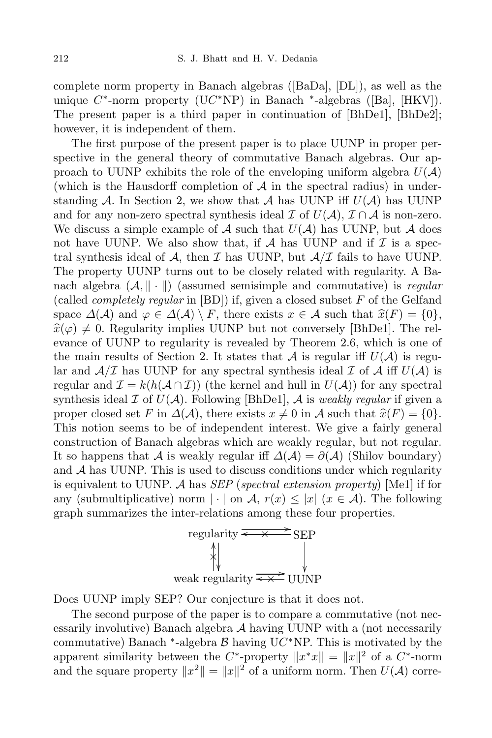complete norm property in Banach algebras ([BaDa], [DL]), as well as the unique *C ∗* -norm property (U*C ∗*NP) in Banach *∗* -algebras ([Ba], [HKV]). The present paper is a third paper in continuation of [BhDe1], [BhDe2]; however, it is independent of them.

The first purpose of the present paper is to place UUNP in proper perspective in the general theory of commutative Banach algebras. Our approach to UUNP exhibits the role of the enveloping uniform algebra  $U(\mathcal{A})$ (which is the Hausdorff completion of  $A$  in the spectral radius) in understanding  $A$ . In Section 2, we show that  $A$  has UUNP iff  $U(A)$  has UUNP and for any non-zero spectral synthesis ideal  $\mathcal{I}$  of  $U(\mathcal{A})$ ,  $\mathcal{I} \cap \mathcal{A}$  is non-zero. We discuss a simple example of  $A$  such that  $U(A)$  has UUNP, but  $A$  does not have UUNP. We also show that, if  $A$  has UUNP and if  $I$  is a spectral synthesis ideal of  $A$ , then  $I$  has UUNP, but  $A/I$  fails to have UUNP. The property UUNP turns out to be closely related with regularity. A Banach algebra  $(A, \| \cdot \|)$  (assumed semisimple and commutative) is *regular* (called *completely regular* in [BD]) if, given a closed subset *F* of the Gelfand space  $\Delta(\mathcal{A})$  and  $\varphi \in \Delta(\mathcal{A}) \setminus F$ , there exists  $x \in \mathcal{A}$  such that  $\hat{x}(F) = \{0\},\$  $\hat{x}(\varphi) \neq 0$ . Regularity implies UUNP but not conversely [BhDe1]. The relevance of UUNP to regularity is revealed by Theorem 2.6, which is one of the main results of Section 2. It states that *A* is regular iff  $U(A)$  is regular and  $A/\mathcal{I}$  has UUNP for any spectral synthesis ideal  $\mathcal{I}$  of  $A$  iff  $U(A)$  is regular and  $\mathcal{I} = k(h(\mathcal{A} \cap \mathcal{I}))$  (the kernel and hull in  $U(\mathcal{A})$ ) for any spectral synthesis ideal  $I$  of  $U(A)$ . Following [BhDe1],  $A$  is *weakly regular* if given a proper closed set *F* in  $\Delta(\mathcal{A})$ , there exists  $x \neq 0$  in  $\mathcal{A}$  such that  $\hat{x}(F) = \{0\}$ . This notion seems to be of independent interest. We give a fairly general construction of Banach algebras which are weakly regular, but not regular. It so happens that *A* is weakly regular iff  $\Delta(\mathcal{A}) = \partial(\mathcal{A})$  (Shilov boundary) and *A* has UUNP. This is used to discuss conditions under which regularity is equivalent to UUNP. *A* has *SEP* (*spectral extension property*) [Me1] if for any (submultiplicative) norm  $|\cdot|$  on *A*,  $r(x) \leq |x|$  ( $x \in A$ ). The following graph summarizes the inter-relations among these four properties.



Does UUNP imply SEP? Our conjecture is that it does not.

The second purpose of the paper is to compare a commutative (not necessarily involutive) Banach algebra *A* having UUNP with a (not necessarily commutative) Banach *∗* -algebra *B* having U*C ∗*NP. This is motivated by the apparent similarity between the *C*<sup>\*</sup>-property  $||x^*x|| = ||x||^2$  of a *C*<sup>\*</sup>-norm and the square property  $||x^2|| = ||x||^2$  of a uniform norm. Then  $U(\mathcal{A})$  corre-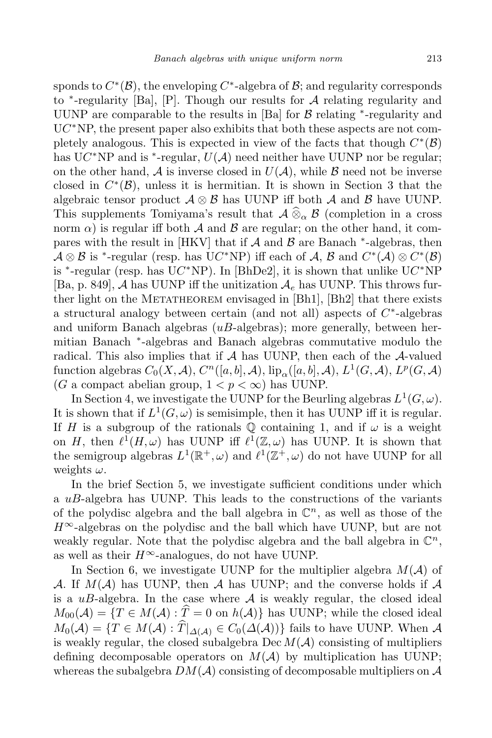sponds to  $C^*(\mathcal{B})$ , the enveloping  $C^*$ -algebra of  $\mathcal{B}$ ; and regularity corresponds to *∗* -regularity [Ba], [P]. Though our results for *A* relating regularity and UUNP are comparable to the results in [Ba] for *B* relating *<sup>∗</sup>* -regularity and U*C ∗*NP, the present paper also exhibits that both these aspects are not completely analogous. This is expected in view of the facts that though  $C^*(\mathcal{B})$ has  $UC^*NP$  and is <sup>\*</sup>-regular,  $U(A)$  need neither have UUNP nor be regular; on the other hand,  $A$  is inverse closed in  $U(A)$ , while  $B$  need not be inverse closed in  $C^*(\mathcal{B})$ , unless it is hermitian. It is shown in Section 3 that the algebraic tensor product  $\mathcal{A} \otimes \mathcal{B}$  has UUNP iff both  $\mathcal{A}$  and  $\mathcal{B}$  have UUNP. This supplements Tomiyama's result that  $\mathcal{A} \widehat{\otimes}_{\alpha} \mathcal{B}$  (completion in a cross norm  $\alpha$ ) is regular iff both  $\mathcal A$  and  $\mathcal B$  are regular; on the other hand, it compares with the result in [HKV] that if *A* and *B* are Banach  $*$ -algebras, then  $\mathcal{A} \otimes \mathcal{B}$  is <sup>\*</sup>-regular (resp. has UC<sup>\*</sup>NP) iff each of  $\mathcal{A}, \mathcal{B}$  and  $C^*(\mathcal{A}) \otimes C^*(\mathcal{B})$ is *<sup>∗</sup>* -regular (resp. has U*C <sup>∗</sup>*NP). In [BhDe2], it is shown that unlike U*C <sup>∗</sup>*NP [Ba, p. 849], *A* has UUNP iff the unitization *A<sup>e</sup>* has UUNP. This throws further light on the METATHEOREM envisaged in  $[Bh1]$ ,  $[Bh2]$  that there exists a structural analogy between certain (and not all) aspects of *C ∗* -algebras and uniform Banach algebras (*uB*-algebras); more generally, between hermitian Banach *∗* -algebras and Banach algebras commutative modulo the radical. This also implies that if *A* has UUNP, then each of the *A*-valued function algebras  $C_0(X, \mathcal{A}), C^n([a, b], \mathcal{A}), \mathrm{lip}_\alpha([a, b], \mathcal{A}), L^1(G, \mathcal{A}), L^p(G, \mathcal{A})$ (*G* a compact abelian group,  $1 < p < \infty$ ) has UUNP.

In Section 4, we investigate the UUNP for the Beurling algebras  $L^1(G, \omega)$ . It is shown that if  $L^1(G, \omega)$  is semisimple, then it has UUNP iff it is regular. If *H* is a subgroup of the rationals  $\mathbb Q$  containing 1, and if  $\omega$  is a weight on *H*, then  $\ell^1(H, \omega)$  has UUNP iff  $\ell^1(\mathbb{Z}, \omega)$  has UUNP. It is shown that the semigroup algebras  $L^1(\mathbb{R}^+, \omega)$  and  $\ell^1(\mathbb{Z}^+, \omega)$  do not have UUNP for all weights *ω*.

In the brief Section 5, we investigate sufficient conditions under which a *uB*-algebra has UUNP. This leads to the constructions of the variants of the polydisc algebra and the ball algebra in  $\mathbb{C}^n$ , as well as those of the *H∞*-algebras on the polydisc and the ball which have UUNP, but are not weakly regular. Note that the polydisc algebra and the ball algebra in  $\mathbb{C}^n$ , as well as their  $H^\infty$ -analogues, do not have UUNP.

In Section 6, we investigate UUNP for the multiplier algebra  $M(A)$  of *A*. If  $M(A)$  has UUNP, then *A* has UUNP; and the converse holds if *A* is a  $uB$ -algebra. In the case where  $A$  is weakly regular, the closed ideal  $M_{00}(\mathcal{A}) = \{T \in M(\mathcal{A}) : \hat{T} = 0 \text{ on } h(\mathcal{A})\}$  has UUNP; while the closed ideal  $M_0(\mathcal{A}) = \{T \in M(\mathcal{A}) : \widehat{T}|_{\Delta(\mathcal{A})} \in C_0(\Delta(\mathcal{A}))\}$  fails to have UUNP. When  $\mathcal{A}$ is weakly regular, the closed subalgebra  $\text{Dec } M(\mathcal{A})$  consisting of multipliers defining decomposable operators on  $M(A)$  by multiplication has UUNP; whereas the subalgebra  $DM(A)$  consisting of decomposable multipliers on  $A$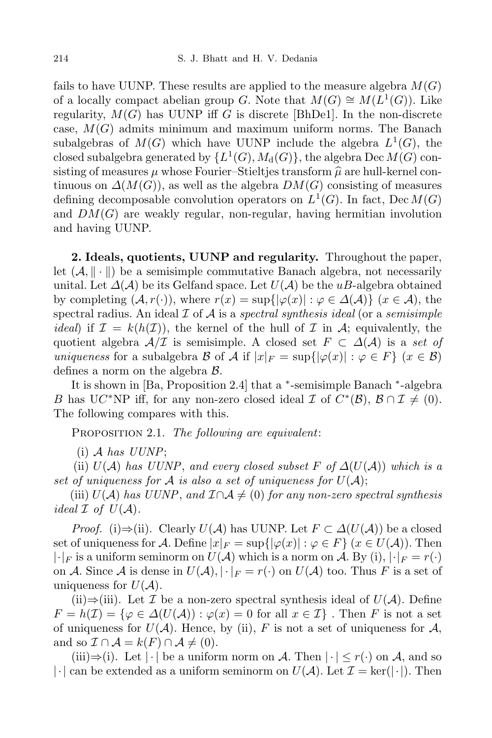fails to have UUNP. These results are applied to the measure algebra  $M(G)$ of a locally compact abelian group *G*. Note that  $M(G) \cong M(L^1(G))$ . Like regularity,  $M(G)$  has UUNP iff *G* is discrete [BhDe1]. In the non-discrete case, *M*(*G*) admits minimum and maximum uniform norms. The Banach subalgebras of  $M(G)$  which have UUNP include the algebra  $L^1(G)$ , the closed subalgebra generated by  $\{L^1(G), M_d(G)\}$ , the algebra Dec  $M(G)$  consisting of measures  $\mu$  whose Fourier–Stieltjes transform  $\hat{\mu}$  are hull-kernel continuous on  $\Delta(M(G))$ , as well as the algebra  $DM(G)$  consisting of measures defining decomposable convolution operators on *L* 1 (*G*). In fact, Dec *M*(*G*) and *DM*(*G*) are weakly regular, non-regular, having hermitian involution and having UUNP.

**2. Ideals, quotients, UUNP and regularity.** Throughout the paper, let  $(A, \|\cdot\|)$  be a semisimple commutative Banach algebra, not necessarily unital. Let *∆*(*A*) be its Gelfand space. Let *U*(*A*) be the *uB*-algebra obtained by completing  $(A, r(\cdot))$ , where  $r(x) = \sup\{|\varphi(x)| : \varphi \in \Delta(\mathcal{A})\}$  ( $x \in \mathcal{A}$ ), the spectral radius. An ideal *I* of *A* is a *spectral synthesis ideal* (or a *semisimple ideal*) if  $\mathcal{I} = k(h(\mathcal{I}))$ , the kernel of the hull of  $\mathcal{I}$  in  $\mathcal{A}$ ; equivalently, the quotient algebra  $A/\mathcal{I}$  is semisimple. A closed set  $F \subset \Delta(A)$  is a *set of uniqueness* for a subalgebra *B* of *A* if  $|x|_F = \sup\{|\varphi(x)| : \varphi \in F\}$  ( $x \in B$ ) defines a norm on the algebra *B*.

It is shown in [Ba, Proposition 2.4] that a *∗* -semisimple Banach *∗* -algebra *B* has U*C*<sup>\*</sup>NP iff, for any non-zero closed ideal  $\mathcal{I}$  of  $C^*(\mathcal{B})$ ,  $\mathcal{B} \cap \mathcal{I} \neq (0)$ . The following compares with this.

Proposition 2.1. *The following are equivalent*:

(i) *A has UUNP*;

(ii)  $U(A)$  has  $UUNP$ , and every closed subset  $F$  of  $\Delta(U(A))$  which is a set of uniqueness for A is also a set of uniqueness for  $U(A)$ ;

(iii)  $U(A)$  *has*  $UUNP$ , and  $I \cap A \neq (0)$  *for any non-zero spectral synthesis ideal*  $\mathcal I$  *of*  $U(\mathcal A)$ *.* 

*Proof.* (i) $\Rightarrow$ (ii). Clearly  $U(A)$  has UUNP. Let  $F \subset \Delta(U(A))$  be a closed set of uniqueness for *A*. Define  $|x|_F = \sup\{|\varphi(x)| : \varphi \in F\}$  ( $x \in U(\mathcal{A})$ ). Then  $|\cdot|_F$  is a uniform seminorm on  $U(\mathcal{A})$  which is a norm on  $\mathcal{A}$ . By (i),  $|\cdot|_F = r(\cdot)$ on *A*. Since *A* is dense in  $U(A), |\cdot|_F = r(\cdot)$  on  $U(A)$  too. Thus *F* is a set of uniqueness for  $U(\mathcal{A})$ .

(ii)*⇒*(iii). Let *I* be a non-zero spectral synthesis ideal of *U*(*A*). Define  $F = h(\mathcal{I}) = \{ \varphi \in \Delta(U(\mathcal{A})) : \varphi(x) = 0 \text{ for all } x \in \mathcal{I} \}$ . Then *F* is not a set of uniqueness for  $U(\mathcal{A})$ . Hence, by (ii), F is not a set of uniqueness for  $\mathcal{A}$ , and so  $\mathcal{I} \cap \mathcal{A} = k(F) \cap \mathcal{A} \neq (0)$ .

 $(iii)$ ⇒ $(i).$  Let  $|·|$  be a uniform norm on *A*. Then  $|·| < r(·)$  on *A*, and so  $|\cdot|$  can be extended as a uniform seminorm on  $U(\mathcal{A})$ . Let  $\mathcal{I} = \text{ker}(|\cdot|)$ . Then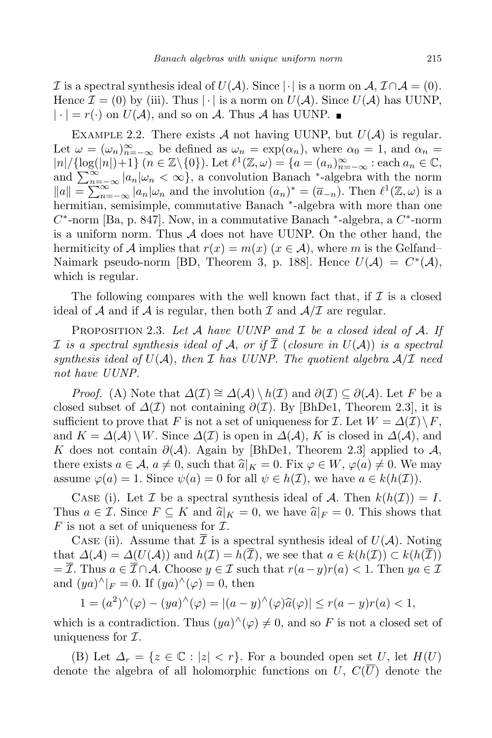*I* is a spectral synthesis ideal of  $U(A)$ . Since  $|\cdot|$  is a norm on  $A, I \cap A = (0)$ . Hence  $\mathcal{I} = (0)$  by (iii). Thus  $|\cdot|$  is a norm on  $U(\mathcal{A})$ . Since  $U(\mathcal{A})$  has UUNP,  $|\cdot| = r(\cdot)$  on  $U(\mathcal{A})$ , and so on  $\mathcal{A}$ . Thus  $\mathcal{A}$  has UUNP.

EXAMPLE 2.2. There exists  $A$  not having UUNP, but  $U(A)$  is regular. Let  $\omega = (\omega_n)_{n=-\infty}^{\infty}$  be defined as  $\omega_n = \exp(\alpha_n)$ , where  $\alpha_0 = 1$ , and  $\alpha_n =$  $|n|/\{\log(|n|)+1\}$   $(n \in \mathbb{Z}\setminus\{0\})$ . Let  $\ell^1(\mathbb{Z},\omega) = \{a = (a_n)_{n=-\infty}^{\infty} : \text{each } a_n \in \mathbb{C},$ and  $\sum_{n=-\infty}^{\infty} |a_n| \omega_n < \infty$ , a convolution Banach \*-algebra with the norm  $||a|| = \sum_{n=-\infty}^{\infty} |a_n| \omega_n$  and the involution  $(a_n)^* = (\overline{a}_{-n})$ . Then  $\ell^1(\mathbb{Z}, \omega)$  is a hermitian, semisimple, commutative Banach *∗* -algebra with more than one *C ∗* -norm [Ba, p. 847]. Now, in a commutative Banach *∗* -algebra, a *C ∗* -norm is a uniform norm. Thus *A* does not have UUNP. On the other hand, the hermiticity of *A* implies that  $r(x) = m(x)$  ( $x \in A$ ), where *m* is the Gelfand– Naimark pseudo-norm [BD, Theorem 3, p. 188]. Hence  $U(\mathcal{A}) = C^*(\mathcal{A}),$ which is regular.

The following compares with the well known fact that, if  $\mathcal I$  is a closed ideal of  $A$  and if  $A$  is regular, then both  $I$  and  $A/I$  are regular.

Proposition 2.3. *Let A have UUNP and I be a closed ideal of A. If I* is a spectral synthesis ideal of A, or if  $\overline{I}$  (closure in  $U(A)$ ) is a spectral *synthesis ideal of*  $U(\mathcal{A})$ , *then*  $\mathcal{I}$  *has*  $UUNP$ . *The quotient algebra*  $\mathcal{A}/\mathcal{I}$  *need not have UUNP.*

*Proof.* (A) Note that  $\Delta(\mathcal{I}) \cong \Delta(\mathcal{A}) \setminus h(\mathcal{I})$  and  $\partial(\mathcal{I}) \subseteq \partial(\mathcal{A})$ . Let *F* be a closed subset of  $\Delta(\mathcal{I})$  not containing  $\partial(\mathcal{I})$ . By [BhDe1, Theorem 2.3], it is sufficient to prove that *F* is not a set of uniqueness for *I*. Let  $W = \Delta(\mathcal{I}) \backslash F$ , and  $K = \Delta(\mathcal{A}) \setminus W$ . Since  $\Delta(\mathcal{I})$  is open in  $\Delta(\mathcal{A})$ , K is closed in  $\Delta(\mathcal{A})$ , and *K* does not contain *∂*(*A*). Again by [BhDe1, Theorem 2.3] applied to *A*, there exists  $a \in \mathcal{A}, a \neq 0$ , such that  $\widehat{a}|_K = 0$ . Fix  $\varphi \in W$ ,  $\varphi(a) \neq 0$ . We may assume  $\varphi(a) = 1$ . Since  $\psi(a) = 0$  for all  $\psi \in h(\mathcal{I})$ , we have  $a \in k(h(\mathcal{I}))$ .

CASE (i). Let *I* be a spectral synthesis ideal of *A*. Then  $k(h(\mathcal{I})) = I$ . Thus  $a \in \mathcal{I}$ . Since  $F \subseteq K$  and  $\hat{a}|_K = 0$ , we have  $\hat{a}|_F = 0$ . This shows that *F* is not a set of uniqueness for *I*.

CASE (ii). Assume that  $\overline{\mathcal{I}}$  is a spectral synthesis ideal of  $U(\mathcal{A})$ . Noting that  $\Delta(\mathcal{A}) = \Delta(U(\mathcal{A}))$  and  $h(\mathcal{I}) = h(\mathcal{I})$ , we see that  $a \in k(h(\mathcal{I})) \subset k(h(\mathcal{I}))$  $=\overline{\mathcal{I}}$ . Thus  $a \in \overline{\mathcal{I}} \cap \mathcal{A}$ . Choose  $y \in \mathcal{I}$  such that  $r(a-y)r(a) < 1$ . Then  $ya \in \mathcal{I}$ and  $(ya)^{\wedge}|_F = 0$ . If  $(ya)^{\wedge}(\varphi) = 0$ , then

$$
1 = (a^2)^{\wedge}(\varphi) - (ya)^{\wedge}(\varphi) = |(a - y)^{\wedge}(\varphi)\widehat{a}(\varphi)| \le r(a - y)r(a) < 1,
$$

which is a contradiction. Thus  $(ya)^{\wedge}(\varphi) \neq 0$ , and so *F* is not a closed set of uniqueness for *I*.

(B) Let  $\Delta_r = \{z \in \mathbb{C} : |z| < r\}$ . For a bounded open set *U*, let  $H(U)$ denote the algebra of all holomorphic functions on *U*, *C*(*U*) denote the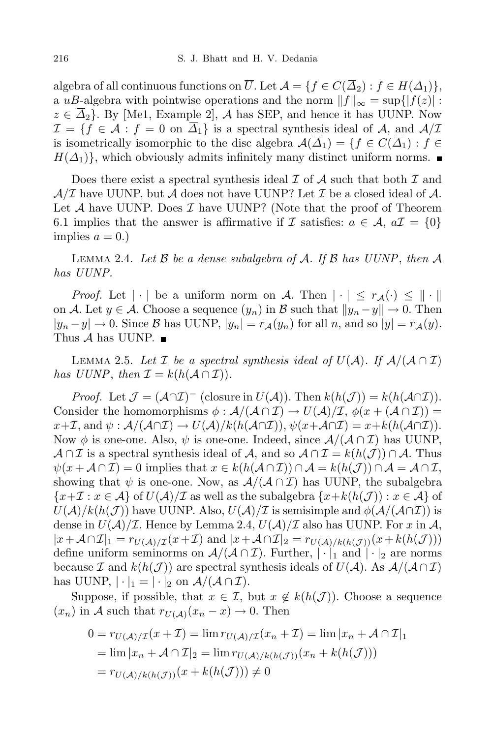algebra of all continuous functions on  $\overline{U}$ . Let  $\mathcal{A} = \{f \in C(\overline{\Delta}_2) : f \in H(\Delta_1)\},\$ a *uB*-algebra with pointwise operations and the norm  $||f||_{\infty} = \sup\{|f(z)|:$  $z \in \overline{\Delta}_2$ . By [Me1, Example 2], *A* has SEP, and hence it has UUNP. Now  $\mathcal{I} = \{f \in \mathcal{A} : f = 0 \text{ on } \overline{\Delta}_1\}$  is a spectral synthesis ideal of *A*, and  $\mathcal{A}/\mathcal{I}$ is isometrically isomorphic to the disc algebra  $\mathcal{A}(\overline{\Delta}_1) = \{f \in C(\overline{\Delta}_1) : f \in$  $H(\Delta_1)$ , which obviously admits infinitely many distinct uniform norms.

Does there exist a spectral synthesis ideal *I* of *A* such that both *I* and  $A/\mathcal{I}$  have UUNP, but  $A$  does not have UUNP? Let  $\mathcal{I}$  be a closed ideal of  $A$ . Let *A* have UUNP. Does *I* have UUNP? (Note that the proof of Theorem 6.1 implies that the answer is affirmative if *I* satisfies:  $a \in \mathcal{A}$ ,  $a\mathcal{I} = \{0\}$ implies  $a = 0.$ 

Lemma 2.4. *Let B be a dense subalgebra of A. If B has UUNP*, *then A has UUNP.*

*Proof.* Let  $| \cdot |$  be a uniform norm on *A*. Then  $| \cdot | \leq r_A(\cdot) \leq | \cdot |$ on *A*. Let  $y \in A$ . Choose a sequence  $(y_n)$  in *B* such that  $||y_n - y|| \to 0$ . Then  $|y_n - y| \to 0$ . Since B has UUNP,  $|y_n| = r_{\mathcal{A}}(y_n)$  for all n, and so  $|y| = r_{\mathcal{A}}(y)$ . Thus *A* has UUNP.

LEMMA 2.5. Let *I* be a spectral synthesis ideal of  $U(A)$ . If  $A/(A \cap I)$ *has*  $UUNP$ , *then*  $\mathcal{I} = k(h(\mathcal{A} \cap \mathcal{I}))$ .

*Proof.* Let  $\mathcal{J} = (\mathcal{A} \cap \mathcal{I})^-$  (closure in  $U(\mathcal{A})$ ). Then  $k(h(\mathcal{J})) = k(h(\mathcal{A} \cap \mathcal{I}))$ . Consider the homomorphisms  $\phi : \mathcal{A}/(\mathcal{A} \cap \mathcal{I}) \to U(\mathcal{A})/\mathcal{I}, \phi(x+(\mathcal{A} \cap \mathcal{I})) =$  $x+\mathcal{I}$ , and  $\psi : \mathcal{A}/(\mathcal{A}\cap\mathcal{I}) \to U(\mathcal{A})/k(h(\mathcal{A}\cap\mathcal{I})), \psi(x+\mathcal{A}\cap\mathcal{I}) = x+k(h(\mathcal{A}\cap\mathcal{I})).$ Now  $\phi$  is one-one. Also,  $\psi$  is one-one. Indeed, since  $\mathcal{A}/(\mathcal{A}\cap\mathcal{I})$  has UUNP, *A* ∩ *I* is a spectral synthesis ideal of *A*, and so  $A \cap I = k(h(\mathcal{J})) \cap A$ . Thus  $\psi(x + A \cap \mathcal{I}) = 0$  implies that  $x \in k(h(\mathcal{A} \cap \mathcal{I})) \cap \mathcal{A} = k(h(\mathcal{J})) \cap \mathcal{A} = \mathcal{A} \cap \mathcal{I}$ , showing that  $\psi$  is one-one. Now, as  $\mathcal{A}/(\mathcal{A} \cap \mathcal{I})$  has UUNP, the subalgebra  ${x+I : x \in A}$  of  $U(A)/I$  as well as the subalgebra  ${x+k(h(J)) : x \in A}$  of  $U(\mathcal{A})/k(h(\mathcal{J}))$  have UUNP. Also,  $U(\mathcal{A})/I$  is semisimple and  $\phi(\mathcal{A}/(\mathcal{A}\cap I))$  is dense in  $U(\mathcal{A})/\mathcal{I}$ . Hence by Lemma 2.4,  $U(\mathcal{A})/\mathcal{I}$  also has UUNP. For *x* in  $\mathcal{A}$ ,  $|x+\mathcal{A}\cap\mathcal{I}|_1 = r_{U(\mathcal{A})/\mathcal{I}}(x+\mathcal{I})$  and  $|x+\mathcal{A}\cap\mathcal{I}|_2 = r_{U(\mathcal{A})/k(h(\mathcal{J}))}(x+k(h(\mathcal{J})))$ define uniform seminorms on  $\mathcal{A}/(\mathcal{A}\cap\mathcal{I})$ . Further,  $|\cdot|_1$  and  $|\cdot|_2$  are norms because *I* and  $k(h(\mathcal{J}))$  are spectral synthesis ideals of  $U(\mathcal{A})$ . As  $\mathcal{A}/(\mathcal{A} \cap \mathcal{I})$ has UUNP,  $|\cdot|_1 = |\cdot|_2$  on  $\mathcal{A}/(\mathcal{A} \cap \mathcal{I})$ .

Suppose, if possible, that  $x \in \mathcal{I}$ , but  $x \notin k(h(\mathcal{J}))$ . Choose a sequence  $(x_n)$  in *A* such that  $r_{U(A)}(x_n - x) \to 0$ . Then

$$
0 = r_{U(\mathcal{A})/\mathcal{I}}(x + \mathcal{I}) = \lim r_{U(\mathcal{A})/\mathcal{I}}(x_n + \mathcal{I}) = \lim |x_n + \mathcal{A} \cap \mathcal{I}|_1
$$
  
= 
$$
\lim |x_n + \mathcal{A} \cap \mathcal{I}|_2 = \lim r_{U(\mathcal{A})/k(h(\mathcal{J}))}(x_n + k(h(\mathcal{J})))
$$
  
= 
$$
r_{U(\mathcal{A})/k(h(\mathcal{J}))}(x + k(h(\mathcal{J}))) \neq 0
$$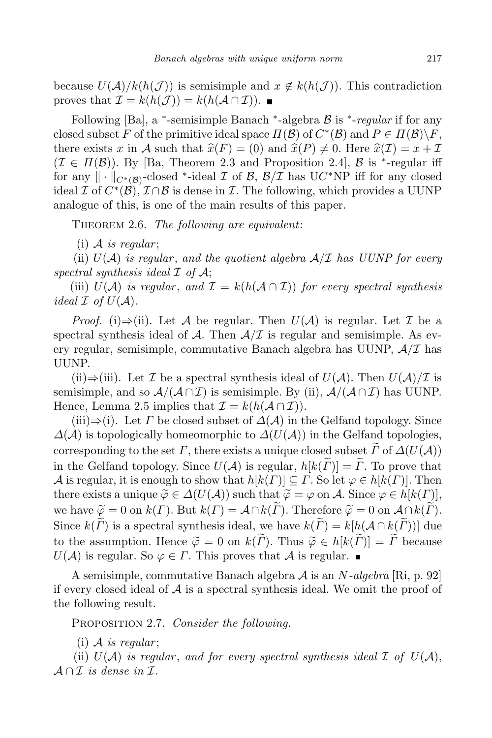because  $U(\mathcal{A})/k(h(\mathcal{J}))$  is semisimple and  $x \notin k(h(\mathcal{J}))$ . This contradiction proves that  $\mathcal{I} = k(h(\mathcal{J})) = k(h(\mathcal{A} \cap \mathcal{I}))$ .

Following [Ba], a *∗* -semisimple Banach *∗* -algebra *B* is *<sup>∗</sup>* -*regular* if for any closed subset *F* of the primitive ideal space  $\Pi(\mathcal{B})$  of  $C^*(\mathcal{B})$  and  $P \in \Pi(\mathcal{B}) \backslash F$ , there exists x in A such that  $\hat{x}(F) = (0)$  and  $\hat{x}(P) \neq 0$ . Here  $\hat{x}(I) = x + I$  $(\mathcal{I} \in \Pi(\mathcal{B}))$ . By [Ba, Theorem 2.3 and Proposition 2.4],  $\mathcal{B}$  is <sup>\*</sup>-regular iff for any  $\|\cdot\|_{C^*(\mathcal{B})}$ -closed \*-ideal  $\mathcal{I}$  of  $\mathcal{B}, \mathcal{B}/\mathcal{I}$  has  $UC^*\text{NP}$  iff for any closed ideal *I* of  $C^*(\mathcal{B})$ ,  $\mathcal{I} \cap \mathcal{B}$  is dense in *I*. The following, which provides a UUNP analogue of this, is one of the main results of this paper.

Theorem 2.6. *The following are equivalent*:

 $(i)$  *A is regular*;

(ii)  $U(A)$  *is regular, and the quotient algebra*  $A/\mathcal{I}$  *has UUNP for every spectral synthesis ideal I of A*;

(iii)  $U(A)$  *is regular, and*  $\mathcal{I} = k(h(\mathcal{A} \cap \mathcal{I}))$  *for every spectral synthesis ideal*  $\mathcal I$  *of*  $U(\mathcal A)$ *.* 

*Proof.* (i) $\Rightarrow$ (ii). Let *A* be regular. Then  $U(A)$  is regular. Let *I* be a spectral synthesis ideal of  $A$ . Then  $A/\mathcal{I}$  is regular and semisimple. As every regular, semisimple, commutative Banach algebra has UUNP, *A/I* has UUNP.

(ii) $\Rightarrow$ (iii). Let *I* be a spectral synthesis ideal of *U*(*A*). Then *U*(*A*)/*I* is semisimple, and so  $\mathcal{A}/(\mathcal{A}\cap\mathcal{I})$  is semisimple. By (ii),  $\mathcal{A}/(\mathcal{A}\cap\mathcal{I})$  has UUNP. Hence, Lemma 2.5 implies that  $\mathcal{I} = k(h(\mathcal{A} \cap \mathcal{I}))$ .

(iii) $\Rightarrow$ (i). Let *Γ* be closed subset of  $\Delta(\mathcal{A})$  in the Gelfand topology. Since *∆*(*A*) is topologically homeomorphic to *∆*(*U*(*A*)) in the Gelfand topologies, corresponding to the set *Γ*, there exists a unique closed subset  $\widetilde{F}$  of  $\Delta(U(\mathcal{A}))$ in the Gelfand topology. Since  $U(\mathcal{A})$  is regular,  $h[k(\tilde{\Gamma})] = \tilde{\Gamma}$ . To prove that *A* is regular, it is enough to show that  $h[k(\Gamma)] \subseteq \Gamma$ . So let  $\varphi \in h[k(\Gamma)]$ . Then there exists a unique  $\widetilde{\varphi} \in \Delta(U(\mathcal{A}))$  such that  $\widetilde{\varphi} = \varphi$  on  $\mathcal{A}$ . Since  $\varphi \in h[k(\Gamma)],$ we have  $\widetilde{\varphi} = 0$  on  $k(\Gamma)$ . But  $k(\Gamma) = A \cap k(\widetilde{\Gamma})$ . Therefore  $\widetilde{\varphi} = 0$  on  $A \cap k(\widetilde{\Gamma})$ . Since  $k(\widetilde{\Gamma})$  is a spectral synthesis ideal, we have  $k(\widetilde{\Gamma}) = k[h(\mathcal{A} \cap k(\widetilde{\Gamma}))]$  due to the assumption. Hence  $\widetilde{\varphi} = 0$  on  $k(\widetilde{\Gamma})$ . Thus  $\widetilde{\varphi} \in h[k(\widetilde{\Gamma})] = \widetilde{\Gamma}$  because  $U(\mathcal{A})$  is regular. So  $\varphi \in \Gamma$ . This proves that  $\mathcal{A}$  is regular.

A semisimple, commutative Banach algebra *A* is an *N-algebra* [Ri, p. 92] if every closed ideal of *A* is a spectral synthesis ideal. We omit the proof of the following result.

Proposition 2.7. *Consider the following.*

 $(i)$  *A is regular*;

(ii)  $U(A)$  *is regular, and for every spectral synthesis ideal*  $I$  *of*  $U(A)$ ,  $A \cap I$  *is dense in*  $I$ .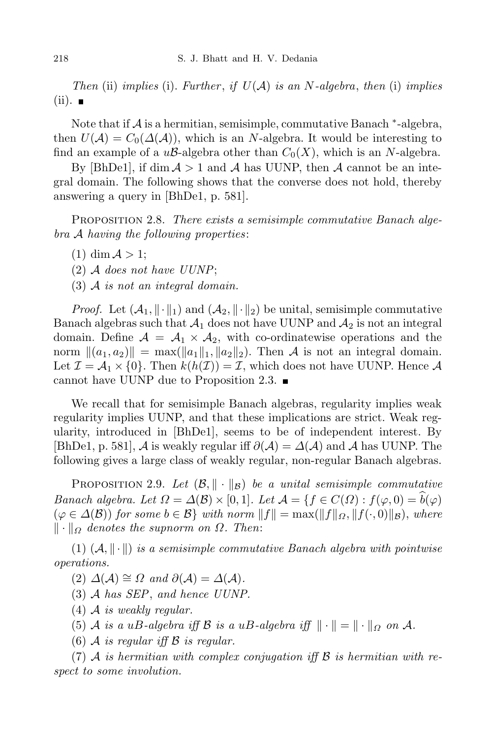*Then* (ii) *implies* (i). *Further* , *if U*(*A*) *is an N-algebra*, *then* (i) *implies*  $(ii).$ 

Note that if *A* is a hermitian, semisimple, commutative Banach *∗* -algebra, then  $U(\mathcal{A}) = C_0(\Delta(\mathcal{A}))$ , which is an *N*-algebra. It would be interesting to find an example of a  $u\mathcal{B}$ -algebra other than  $C_0(X)$ , which is an *N*-algebra.

By [BhDe1], if  $\dim A > 1$  and *A* has UUNP, then *A* cannot be an integral domain. The following shows that the converse does not hold, thereby answering a query in [BhDe1, p. 581].

Proposition 2.8. *There exists a semisimple commutative Banach algebra A having the following properties*:

- $(1)$  dim  $A > 1$ ;
- (2) *A does not have UUNP*;
- (3) *A is not an integral domain.*

*Proof.* Let  $(A_1, \|\cdot\|_1)$  and  $(A_2, \|\cdot\|_2)$  be unital, semisimple commutative Banach algebras such that  $A_1$  does not have UUNP and  $A_2$  is not an integral domain. Define  $A = A_1 \times A_2$ , with co-ordinatewise operations and the norm  $\|(a_1, a_2)\| = \max(\|a_1\|_1, \|a_2\|_2)$ . Then *A* is not an integral domain. Let  $\mathcal{I} = \mathcal{A}_1 \times \{0\}$ . Then  $k(h(\mathcal{I})) = \mathcal{I}$ , which does not have UUNP. Hence  $\mathcal{A}$ cannot have UUNP due to Proposition 2.3.

We recall that for semisimple Banach algebras, regularity implies weak regularity implies UUNP, and that these implications are strict. Weak regularity, introduced in [BhDe1], seems to be of independent interest. By  $[\text{BhDe1}, p. 581], \mathcal{A}$  is weakly regular iff  $\partial(\mathcal{A}) = \Delta(\mathcal{A})$  and  $\mathcal{A}$  has UUNP. The following gives a large class of weakly regular, non-regular Banach algebras.

PROPOSITION 2.9. Let  $(\mathcal{B}, \|\cdot\|_{\mathcal{B}})$  be a unital semisimple commutative *Banach algebra. Let*  $\Omega = \Delta(\mathcal{B}) \times [0, 1]$ *. Let*  $\mathcal{A} = \{f \in C(\Omega) : f(\varphi, 0) = \widehat{b}(\varphi)$  $(\varphi \in \Delta(\mathcal{B}))$  for some  $b \in \mathcal{B}$  with norm  $||f|| = \max(||f||_{\Omega}, ||f(\cdot, 0)||_{\mathcal{B}})$ , where  $\| \cdot \|_{\Omega}$  *denotes the supnorm on*  $\Omega$ *. Then:* 

 $(1)$   $(A, \|\cdot\|)$  *is a semisimple commutative Banach algebra with pointwise operations.*

 $(2)$   $\Delta(\mathcal{A}) \cong \Omega$  and  $\partial(\mathcal{A}) = \Delta(\mathcal{A})$ .

- (3) *A has SEP*, *and hence UUNP.*
- (4) *A is weakly regular.*
- (5) *A is a uB*-*algebra iff B is a uB*-*algebra iff*  $\|\cdot\| = \|\cdot\|_{\Omega}$  *on A*.
- (6) *A is regular iff B is regular.*

(7) *A is hermitian with complex conjugation iff B is hermitian with respect to some involution.*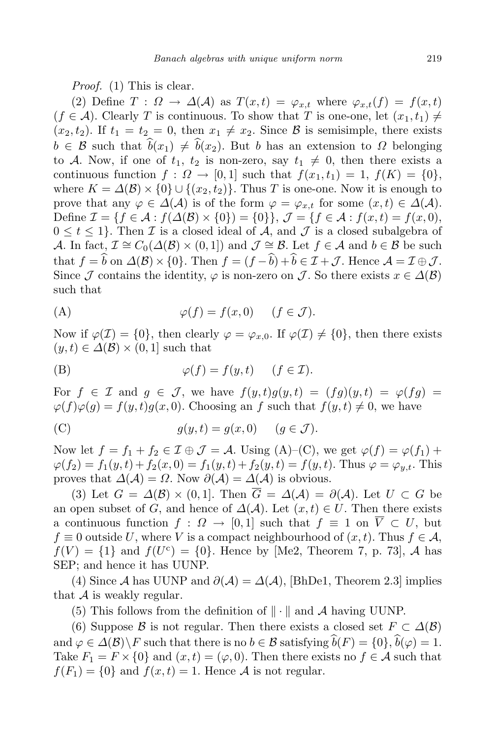*Proof.* (1) This is clear.

(2) Define  $T: \Omega \to \Delta(\mathcal{A})$  as  $T(x,t) = \varphi_{x,t}$  where  $\varphi_{x,t}(f) = f(x,t)$  $(f \in \mathcal{A})$ . Clearly *T* is continuous. To show that *T* is one-one, let  $(x_1, t_1) \neq$  $(x_2, t_2)$ . If  $t_1 = t_2 = 0$ , then  $x_1 \neq x_2$ . Since B is semisimple, there exists  $b \in \mathcal{B}$  such that  $\hat{b}(x_1) \neq \hat{b}(x_2)$ . But *b* has an extension to *Ω* belonging to *A*. Now, if one of  $t_1$ ,  $t_2$  is non-zero, say  $t_1 \neq 0$ , then there exists a continuous function  $f: \Omega \to [0,1]$  such that  $f(x_1,t_1) = 1$ ,  $f(K) = \{0\}$ , where  $K = \Delta(\mathcal{B}) \times \{0\} \cup \{(x_2, t_2)\}\.$  Thus *T* is one-one. Now it is enough to prove that any  $\varphi \in \Delta(\mathcal{A})$  is of the form  $\varphi = \varphi_{x,t}$  for some  $(x,t) \in \Delta(\mathcal{A})$ . Define  $\mathcal{I} = \{f \in \mathcal{A} : f(\Delta(\mathcal{B}) \times \{0\}) = \{0\}\}, \mathcal{J} = \{f \in \mathcal{A} : f(x,t) = f(x,0),\}$  $0 \leq t \leq 1$ . Then *I* is a closed ideal of *A*, and *J* is a closed subalgebra of *A*. In fact,  $\mathcal{I} \cong C_0(\Delta(\mathcal{B}) \times (0, 1])$  and  $\mathcal{J} \cong \mathcal{B}$ . Let  $f \in \mathcal{A}$  and  $b \in \mathcal{B}$  be such that  $f = \hat{b}$  on  $\Delta(\mathcal{B}) \times \{0\}$ . Then  $f = (f - \hat{b}) + \hat{b} \in \mathcal{I} + \mathcal{J}$ . Hence  $\mathcal{A} = \mathcal{I} \oplus \mathcal{J}$ . Since *J* contains the identity,  $\varphi$  is non-zero on *J*. So there exists  $x \in \Delta(\mathcal{B})$ such that

(A) 
$$
\varphi(f) = f(x, 0) \quad (f \in \mathcal{J}).
$$

Now if  $\varphi(\mathcal{I}) = \{0\}$ , then clearly  $\varphi = \varphi_{x,0}$ . If  $\varphi(\mathcal{I}) \neq \{0\}$ , then there exists  $(y, t) \in \Delta(\mathcal{B}) \times (0, 1]$  such that

(B) 
$$
\varphi(f) = f(y, t) \quad (f \in \mathcal{I}).
$$

For  $f \in \mathcal{I}$  and  $g \in \mathcal{J}$ , we have  $f(y,t)g(y,t) = (fg)(y,t) = \varphi(fg)$  $\varphi(f)\varphi(g) = f(y,t)g(x,0)$ . Choosing an *f* such that  $f(y,t) \neq 0$ , we have

(C) 
$$
g(y,t) = g(x,0) \quad (g \in \mathcal{J}).
$$

Now let  $f = f_1 + f_2 \in \mathcal{I} \oplus \mathcal{J} = \mathcal{A}$ . Using  $(A)$ – $(C)$ , we get  $\varphi(f) = \varphi(f_1) + \varphi(f_2)$  $\varphi(f_2) = f_1(y,t) + f_2(x,0) = f_1(y,t) + f_2(y,t) = f(y,t)$ . Thus  $\varphi = \varphi_{u,t}$ . This proves that  $\Delta(\mathcal{A}) = \Omega$ . Now  $\partial(\mathcal{A}) = \Delta(\mathcal{A})$  is obvious.

(3) Let  $G = \Delta(\mathcal{B}) \times (0,1]$ . Then  $\overline{G} = \Delta(\mathcal{A}) = \partial(\mathcal{A})$ . Let  $U \subset G$  be an open subset of *G*, and hence of  $\Delta(\mathcal{A})$ . Let  $(x,t) \in U$ . Then there exists a continuous function  $f: \Omega \to [0,1]$  such that  $f \equiv 1$  on  $\overline{V} \subset U$ , but  $f \equiv 0$  outside *U*, where *V* is a compact neighbourhood of  $(x, t)$ . Thus  $f \in \mathcal{A}$ ,  $f(V) = \{1\}$  and  $f(U^c) = \{0\}$ . Hence by [Me2, Theorem 7, p. 73], *A* has SEP; and hence it has UUNP.

(4) Since *A* has UUNP and  $\partial(\mathcal{A}) = \Delta(\mathcal{A})$ , [BhDe1, Theorem 2.3] implies that  $A$  is weakly regular.

(5) This follows from the definition of  $\|\cdot\|$  and A having UUNP.

(6) Suppose *B* is not regular. Then there exists a closed set  $F \subset \Delta(B)$ and  $\varphi \in \Delta(\mathcal{B}) \backslash F$  such that there is no  $b \in \mathcal{B}$  satisfying  $\widehat{b}(F) = \{0\}, \widehat{b}(\varphi) = 1$ . Take  $F_1 = F \times \{0\}$  and  $(x, t) = (\varphi, 0)$ . Then there exists no  $f \in \mathcal{A}$  such that  $f(F_1) = \{0\}$  and  $f(x,t) = 1$ . Hence *A* is not regular.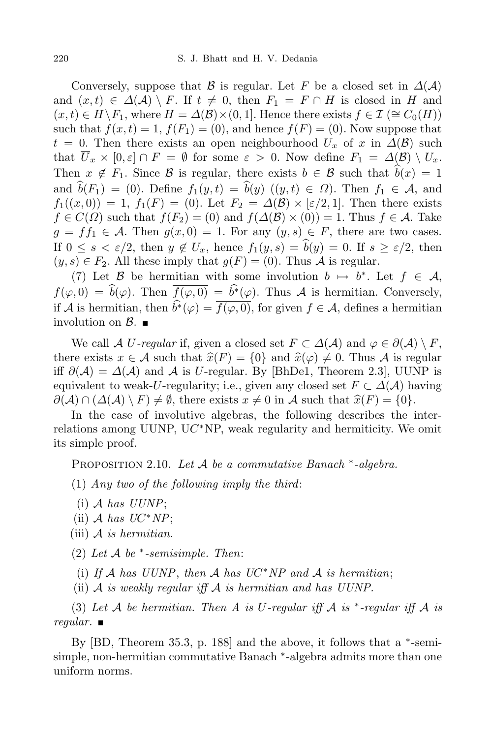Conversely, suppose that *B* is regular. Let *F* be a closed set in  $\Delta(\mathcal{A})$ and  $(x,t) \in \Delta(\mathcal{A}) \setminus F$ . If  $t \neq 0$ , then  $F_1 = F \cap H$  is closed in *H* and  $(x,t) \in H \backslash F_1$ , where  $H = \Delta(\mathcal{B}) \times (0,1]$ . Hence there exists  $f \in \mathcal{I} \subseteq C_0(H)$ such that  $f(x,t) = 1$ ,  $f(F_1) = (0)$ , and hence  $f(F) = (0)$ . Now suppose that  $t = 0$ . Then there exists an open neighbourhood  $U_x$  of *x* in  $\Delta(\mathcal{B})$  such that  $\overline{U}_x \times [0, \varepsilon] \cap F = \emptyset$  for some  $\varepsilon > 0$ . Now define  $F_1 = \Delta(\mathcal{B}) \setminus U_x$ . Then  $x \notin F_1$ . Since B is regular, there exists  $b \in B$  such that  $\hat{b}(x) = 1$ and  $\hat{b}(F_1) = (0)$ . Define  $f_1(y,t) = \hat{b}(y)$  ( $(y,t) \in \Omega$ ). Then  $f_1 \in \mathcal{A}$ , and  $f_1((x,0)) = 1$ ,  $f_1(F) = (0)$ . Let  $F_2 = \Delta(\mathcal{B}) \times [\varepsilon/2, 1]$ . Then there exists  $f \in C(\Omega)$  such that  $f(F_2) = (0)$  and  $f(\Delta(\mathcal{B}) \times (0)) = 1$ . Thus  $f \in \mathcal{A}$ . Take  $g = ff_1 \in \mathcal{A}$ . Then  $g(x, 0) = 1$ . For any  $(y, s) \in F$ , there are two cases. If  $0 \le s \le \varepsilon/2$ , then  $y \notin U_x$ , hence  $f_1(y, s) = \hat{b}(y) = 0$ . If  $s \ge \varepsilon/2$ , then  $(y, s) \in F_2$ . All these imply that  $g(F) = (0)$ . Thus *A* is regular.

(7) Let  $\beta$  be hermitian with some involution  $b \mapsto b^*$ . Let  $f \in \mathcal{A}$ ,  $f(\varphi, 0) = b(\varphi)$ . Then  $f(\varphi, 0) = b^*(\varphi)$ . Thus *A* is hermitian. Conversely, if *A* is hermitian, then  $b^*(\varphi) = f(\varphi, 0)$ , for given  $f \in \mathcal{A}$ , defines a hermitian involution on  $\beta$ .

We call *A U-regular* if, given a closed set  $F \subset \Delta(\mathcal{A})$  and  $\varphi \in \partial(\mathcal{A}) \setminus F$ , there exists  $x \in A$  such that  $\hat{x}(F) = \{0\}$  and  $\hat{x}(\varphi) \neq 0$ . Thus A is regular iff  $\partial(\mathcal{A}) = \Delta(\mathcal{A})$  and  $\mathcal{A}$  is *U*-regular. By [BhDe1, Theorem 2.3], UUNP is equivalent to weak-*U*-regularity; i.e., given any closed set  $F \subset \Delta(\mathcal{A})$  having  $\partial(\mathcal{A}) \cap (\Delta(\mathcal{A}) \setminus F) \neq \emptyset$ , there exists  $x \neq 0$  in  $\mathcal{A}$  such that  $\hat{x}(F) = \{0\}$ .

In the case of involutive algebras, the following describes the interrelations among UUNP, U*C <sup>∗</sup>*NP, weak regularity and hermiticity. We omit its simple proof.

Proposition 2.10. *Let A be a commutative Banach <sup>∗</sup> -algebra.*

(1) *Any two of the following imply the third*:

- (i) *A has UUNP*;
- $(Lii)$  *A has*  $UC^*NP;$
- (iii) *A is hermitian.*

(2) *Let A be ∗ -semisimple. Then*:

(i) If *A* has  $UUNP$ , then *A* has  $UC^*NP$  and *A* is hermitian;

(ii) *A is weakly regular iff A is hermitian and has UUNP.*

(3) Let  $A$  be hermitian. Then  $A$  is  $U$ -regular iff  $A$  is  $*$ -regular iff  $A$  is *regular.*

By [BD, Theorem 35.3, p. 188] and the above, it follows that a *∗* -semisimple, non-hermitian commutative Banach *∗* -algebra admits more than one uniform norms.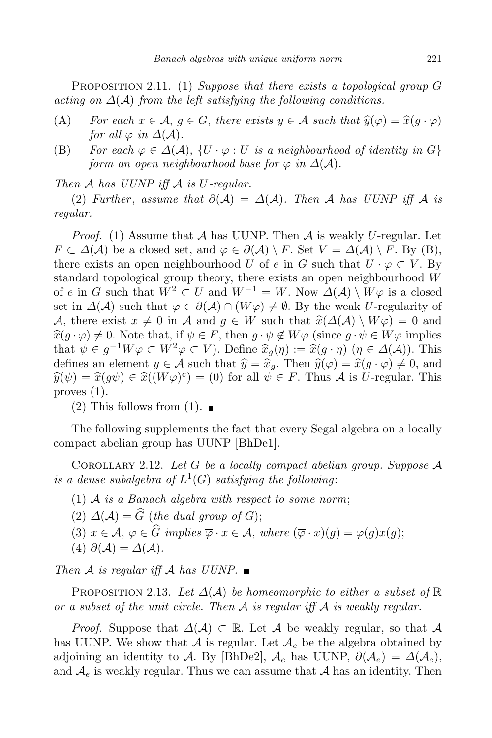Proposition 2.11. (1) *Suppose that there exists a topological group G acting on*  $\Delta(A)$  *from the left satisfying the following conditions.* 

- (A) *For* each  $x \in A$ ,  $g \in G$ , there exists  $y \in A$  such that  $\hat{y}(\varphi) = \hat{x}(g \cdot \varphi)$ *for* all  $\varphi$  *in*  $\Delta(\mathcal{A})$ *.*
- (B) For each  $\varphi \in \Delta(\mathcal{A})$ ,  $\{U \cdot \varphi : U \text{ is a neighbourhood of identity in } G\}$ *form an open neighbourhood base for*  $\varphi$  *in*  $\Delta(\mathcal{A})$ *.*

*Then A has UUNP iff A is U-regular.*

(2) *Further*, *assume that*  $\partial(A) = \Delta(A)$ *. Then A has UUNP iff A is regular.*

*Proof.* (1) Assume that *A* has UUNP. Then *A* is weakly *U*-regular. Let *F* ⊂  $\Delta$ (*A*) be a closed set, and  $\varphi \in \partial(A) \setminus F$ . Set  $V = \Delta(A) \setminus F$ . By (B), there exists an open neighbourhood *U* of *e* in *G* such that  $U \cdot \varphi \subset V$ . By standard topological group theory, there exists an open neighbourhood *W* of *e* in *G* such that  $W^2 \subset U$  and  $W^{-1} = W$ . Now  $\Delta(\mathcal{A}) \setminus W\varphi$  is a closed set in  $\Delta(\mathcal{A})$  such that  $\varphi \in \partial(\mathcal{A}) \cap (W\varphi) \neq \emptyset$ . By the weak *U*-regularity of *A*, there exist  $x \neq 0$  in *A* and  $g \in W$  such that  $\hat{x}(\Delta(\mathcal{A}) \setminus W\varphi) = 0$  and  $\hat{x}(g \cdot \varphi) \neq 0$ . Note that, if  $\psi \in F$ , then  $g \cdot \psi \notin W\varphi$  (since  $g \cdot \psi \in W\varphi$  implies that  $\psi \in g^{-1}W\varphi \subset W^2\varphi \subset V$ ). Define  $\hat{x}_g(\eta) := \hat{x}(g \cdot \eta)$  ( $\eta \in \Delta(\mathcal{A})$ ). This defines an element  $y \in A$  such that  $\hat{y} = \hat{x}_q$ . Then  $\hat{y}(\varphi) = \hat{x}(g \cdot \varphi) \neq 0$ , and  $\hat{y}(\psi) = \hat{x}(g\psi) \in \hat{x}((W\varphi)^c) = (0)$  for all  $\psi \in F$ . Thus *A* is *U*-regular. This proves (1).

 $(2)$  This follows from  $(1)$ .

The following supplements the fact that every Segal algebra on a locally compact abelian group has UUNP [BhDe1].

COROLLARY 2.12. Let  $G$  be a locally compact abelian group. Suppose  $\mathcal A$ is a dense subalgebra of  $L^1(G)$  satisfying the following:

- (1) *A is a Banach algebra with respect to some norm*;
- (2)  $\Delta(\mathcal{A}) = \widehat{G}$  (*the dual group of G*);
- (3)  $x \in \mathcal{A}, \varphi \in \widehat{G}$  *implies*  $\overline{\varphi} \cdot x \in \mathcal{A},$  *where*  $(\overline{\varphi} \cdot x)(q) = \overline{\varphi(q)}x(q);$
- $(4) \partial(\mathcal{A}) = \Delta(\mathcal{A}).$

*Then A is regular iff A has*  $UUNP.$ 

PROPOSITION 2.13. Let  $\Delta(A)$  be homeomorphic to either a subset of  $\mathbb R$ *or a subset of the unit circle. Then A is regular iff A is weakly regular.*

*Proof.* Suppose that  $\Delta(\mathcal{A}) \subset \mathbb{R}$ . Let  $\mathcal{A}$  be weakly regular, so that  $\mathcal{A}$ has UUNP. We show that  $A$  is regular. Let  $A_e$  be the algebra obtained by adjoining an identity to *A*. By [BhDe2],  $A_e$  has UUNP,  $\partial(A_e) = \Delta(A_e)$ , and  $A_e$  is weakly regular. Thus we can assume that  $A$  has an identity. Then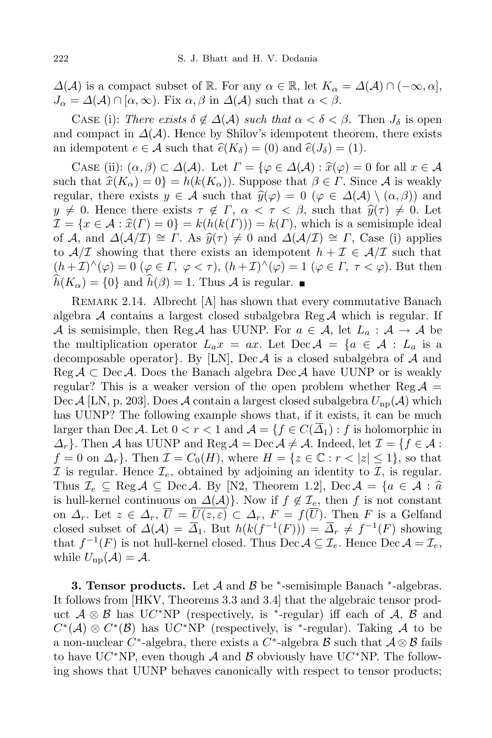$\Delta(A)$  is a compact subset of R. For any  $\alpha \in \mathbb{R}$ , let  $K_{\alpha} = \Delta(A) \cap (-\infty, \alpha]$ ,  $J_{\alpha} = \Delta(\mathcal{A}) \cap [\alpha, \infty)$ . Fix  $\alpha, \beta$  in  $\Delta(\mathcal{A})$  such that  $\alpha < \beta$ .

CASE (i): *There exists*  $\delta \notin \Delta(\mathcal{A})$  *such that*  $\alpha < \delta < \beta$ . Then  $J_{\delta}$  is open and compact in  $\Delta(\mathcal{A})$ . Hence by Shilov's idempotent theorem, there exists an idempotent  $e \in \mathcal{A}$  such that  $\hat{e}(K_{\delta}) = (0)$  and  $\hat{e}(J_{\delta}) = (1)$ .

CASE (ii):  $(\alpha, \beta) \subset \Delta(\mathcal{A})$ . Let  $\Gamma = {\varphi \in \Delta(\mathcal{A}) : \hat{x}(\varphi) = 0 \text{ for all } x \in \mathcal{A}}$ such that  $\hat{x}(K_{\alpha}) = 0$ } =  $h(k(K_{\alpha}))$ . Suppose that  $\beta \in \Gamma$ . Since A is weakly regular, there exists  $y \in A$  such that  $\hat{y}(\varphi) = 0$  ( $\varphi \in \Delta(A) \setminus (\alpha, \beta)$ ) and  $y \neq 0$ . Hence there exists  $\tau \notin \Gamma$ ,  $\alpha < \tau < \beta$ , such that  $\hat{y}(\tau) \neq 0$ . Let  $\mathcal{I} = \{x \in \mathcal{A} : \hat{x}(F) = 0\} = k(h(k(F))) = k(F)$ , which is a semisimple ideal of *A*, and  $\Delta(\mathcal{A}/\mathcal{I}) \cong \Gamma$ . As  $\hat{y}(\tau) \neq 0$  and  $\Delta(\mathcal{A}/\mathcal{I}) \cong \Gamma$ , Case (i) applies to  $A/I$  showing that there exists an idempotent  $h + I \in A/I$  such that  $(\mu + \mathcal{I})^{\wedge}(\varphi) = 0 \ (\varphi \in \Gamma, \ \varphi < \tau), (h + \mathcal{I})^{\wedge}(\varphi) = 1 \ (\varphi \in \Gamma, \ \tau < \varphi).$  But then  $\widehat{h}(K_{\alpha}) = \{0\}$  and  $\widehat{h}(\beta) = 1$ . Thus *A* is regular.

REMARK 2.14. Albrecht [A] has shown that every commutative Banach algebra *A* contains a largest closed subalgebra Reg *A* which is regular. If *A* is semisimple, then Reg *A* has UUNP. For  $a \in A$ , let  $L_a : A \rightarrow A$  be the multiplication operator  $L_a x = ax$ . Let  $\text{Dec } A = \{a \in A : L_a \text{ is a }$ decomposable operator*}*. By [LN], Dec *A* is a closed subalgebra of *A* and Reg *A ⊂* Dec *A*. Does the Banach algebra Dec *A* have UUNP or is weakly regular? This is a weaker version of the open problem whether  $\text{Reg } A =$ Dec *A* [LN, p. 203]. Does *A* contain a largest closed subalgebra  $U_{\text{np}}(A)$  which has UUNP? The following example shows that, if it exists, it can be much larger than Dec *A*. Let  $0 < r < 1$  and  $A = \{f \in C(\overline{\Delta}_1) : f$  is holomorphic in *∆*<sup>*r*</sup>}. Then *A* has UUNP and Reg *A* = Dec *A*  $\neq$  *A*. Indeed, let *I* = {*f* ∈ *A* :  $f = 0$  on  $\Delta_r$ . Then  $\mathcal{I} = C_0(H)$ , where  $H = \{z \in \mathbb{C} : r < |z| \leq 1\}$ , so that *I* is regular. Hence  $\mathcal{I}_e$ , obtained by adjoining an identity to *I*, is regular. Thus  $\mathcal{I}_e \subseteq \text{Reg } \mathcal{A} \subseteq \text{Dec } \mathcal{A}$ . By [N2, Theorem 1.2], Dec  $\mathcal{A} = \{a \in \mathcal{A} : \hat{a}\}$ is hull-kernel continuous on  $\Delta(\mathcal{A})$ . Now if  $f \notin \mathcal{I}_e$ , then f is not constant on  $\Delta_r$ . Let  $z \in \Delta_r$ ,  $\overline{U} = \overline{U(z,\varepsilon)} \subset \Delta_r$ ,  $F = f(\overline{U})$ . Then *F* is a Gelfand closed subset of  $\Delta(\mathcal{A}) = \overline{\Delta}_1$ . But  $h(k(f^{-1}(F))) = \overline{\Delta}_r \neq f^{-1}(F)$  showing that  $f^{-1}(F)$  is not hull-kernel closed. Thus Dec  $A \subseteq \mathcal{I}_e$ . Hence Dec  $A = \mathcal{I}_e$ , while  $U_{\text{np}}(\mathcal{A}) = \mathcal{A}$ .

**3. Tensor products.** Let *A* and *B* be *∗* -semisimple Banach *∗* -algebras. It follows from [HKV, Theorems 3.3 and 3.4] that the algebraic tensor product  $A \otimes B$  has  $UC^*NP$  (respectively, is <sup>\*</sup>-regular) iff each of *A*, *B* and  $C^*(A) \otimes C^*(B)$  has U $C^*$ NP (respectively, is <sup>\*</sup>-regular). Taking *A* to be a non-nuclear  $C^*$ -algebra, there exists a  $C^*$ -algebra  $B$  such that  $A \otimes B$  fails to have  $\mathrm{U}C^*$ NP, even though *A* and *B* obviously have  $\mathrm{U}C^*$ NP. The following shows that UUNP behaves canonically with respect to tensor products;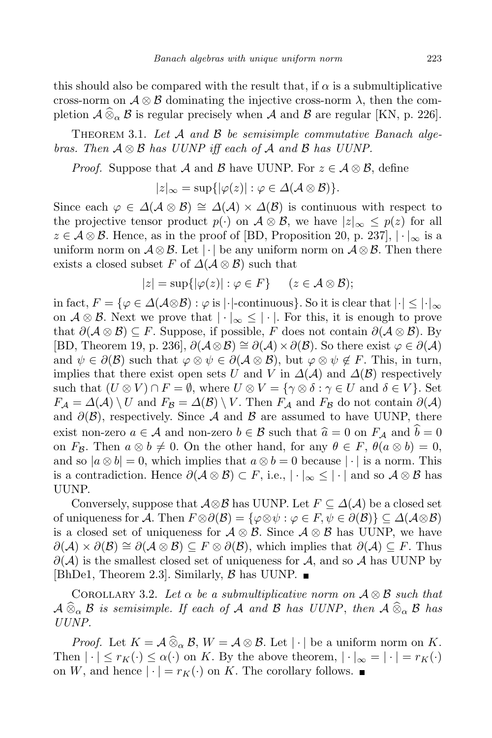this should also be compared with the result that, if  $\alpha$  is a submultiplicative cross-norm on  $\mathcal{A} \otimes \mathcal{B}$  dominating the injective cross-norm  $\lambda$ , then the completion  $\mathcal{A} \widehat{\otimes}_{\alpha} \mathcal{B}$  is regular precisely when  $\mathcal{A}$  and  $\mathcal{B}$  are regular [KN, p. 226].

Theorem 3.1. *Let A and B be semisimple commutative Banach algebras. Then A ⊗ B has UUNP iff each of A and B has UUNP.*

*Proof.* Suppose that *A* and *B* have UUNP. For  $z \in A \otimes B$ , define

$$
|z|_{\infty} = \sup\{|\varphi(z)| : \varphi \in \Delta(\mathcal{A} \otimes \mathcal{B})\}.
$$

Since each  $\varphi \in \Delta(\mathcal{A} \otimes \mathcal{B}) \cong \Delta(\mathcal{A}) \times \Delta(\mathcal{B})$  is continuous with respect to the projective tensor product  $p(\cdot)$  on  $\mathcal{A} \otimes \mathcal{B}$ , we have  $|z|_{\infty} \leq p(z)$  for all *z* ∈ *A* ⊗ *B*. Hence, as in the proof of [BD, Proposition 20, p. 237],  $| \cdot |_{\infty}$  is a uniform norm on  $\mathcal{A} \otimes \mathcal{B}$ . Let  $|\cdot|$  be any uniform norm on  $\mathcal{A} \otimes \mathcal{B}$ . Then there exists a closed subset *F* of  $\Delta(\mathcal{A} \otimes \mathcal{B})$  such that

$$
|z| = \sup\{|\varphi(z)| : \varphi \in F\} \quad (z \in \mathcal{A} \otimes \mathcal{B});
$$

in fact,  $F = \{ \varphi \in \Delta(\mathcal{A} \otimes \mathcal{B}) : \varphi \text{ is } | \cdot | \text{-continuous} \}.$  So it is clear that  $| \cdot | \leq | \cdot |_{\infty}$ on  $\mathcal{A} \otimes \mathcal{B}$ . Next we prove that  $| \cdot |_{\infty} \leq | \cdot |$ . For this, it is enough to prove that  $\partial(A \otimes B) \subseteq F$ . Suppose, if possible, *F* does not contain  $\partial(A \otimes B)$ . By [BD, Theorem 19, p. 236], *∂*(*A⊗B*) *∼*= *∂*(*A*)*×∂*(*B*). So there exist *ϕ ∈ ∂*(*A*) and  $\psi \in \partial(\mathcal{B})$  such that  $\varphi \otimes \psi \in \partial(\mathcal{A} \otimes \mathcal{B})$ , but  $\varphi \otimes \psi \notin F$ . This, in turn, implies that there exist open sets *U* and *V* in  $\Delta(\mathcal{A})$  and  $\Delta(\mathcal{B})$  respectively such that  $(U \otimes V) \cap F = \emptyset$ , where  $U \otimes V = \{ \gamma \otimes \delta : \gamma \in U \text{ and } \delta \in V \}$ . Set  $F_A = \Delta(A) \setminus U$  and  $F_B = \Delta(B) \setminus V$ . Then  $F_A$  and  $F_B$  do not contain  $\partial(A)$ and  $\partial(\mathcal{B})$ , respectively. Since A and B are assumed to have UUNP, there exist non-zero  $a \in \mathcal{A}$  and non-zero  $b \in \mathcal{B}$  such that  $\hat{a} = 0$  on  $F_{\mathcal{A}}$  and  $\hat{b} = 0$ on  $F_{\mathcal{B}}$ . Then  $a \otimes b \neq 0$ . On the other hand, for any  $\theta \in F$ ,  $\theta(a \otimes b) = 0$ , and so  $|a \otimes b| = 0$ , which implies that  $a \otimes b = 0$  because  $| \cdot |$  is a norm. This is a contradiction. Hence  $\partial(A \otimes B) \subset F$ , i.e.,  $|\cdot|_{\infty} \leq |\cdot|$  and so  $A \otimes B$  has UUNP.

Conversely, suppose that  $\mathcal{A} \otimes \mathcal{B}$  has UUNP. Let  $F \subseteq \Delta(\mathcal{A})$  be a closed set of uniqueness for *A*. Then  $F \otimes \partial(\mathcal{B}) = {\varphi \otimes \psi : \varphi \in F, \psi \in \partial(\mathcal{B})} \subseteq \Delta(\mathcal{A} \otimes \mathcal{B})$ is a closed set of uniqueness for  $\mathcal{A} \otimes \mathcal{B}$ . Since  $\mathcal{A} \otimes \mathcal{B}$  has UUNP, we have *∂*(*A*)  $\times$  *∂*(*B*)  $\cong$  *∂*(*A*  $\otimes$  *B*)  $\subseteq$  *F*  $\otimes$  *∂*(*B*), which implies that  $\partial$ (*A*)  $\subseteq$  *F*. Thus *∂*(*A*) is the smallest closed set of uniqueness for *A*, and so *A* has UUNP by [BhDe1, Theorem 2.3]. Similarly, *B* has UUNP.

COROLLARY 3.2. Let  $\alpha$  be a submultiplicative norm on  $\mathcal{A} \otimes \mathcal{B}$  such that  $A \widehat{\otimes}_{\alpha} B$  *is semisimple. If each of A and B has UUNP*, *then*  $A \widehat{\otimes}_{\alpha} B$  *has UUNP.*

*Proof.* Let  $K = \mathcal{A} \widehat{\otimes}_{\alpha} \mathcal{B}, W = \mathcal{A} \otimes \mathcal{B}$ . Let  $|\cdot|$  be a uniform norm on K. Then  $| \cdot | \leq r_K(\cdot) \leq \alpha(\cdot)$  on *K*. By the above theorem,  $| \cdot |_{\infty} = | \cdot | = r_K(\cdot)$ on *W*, and hence  $|\cdot| = r_K(\cdot)$  on *K*. The corollary follows.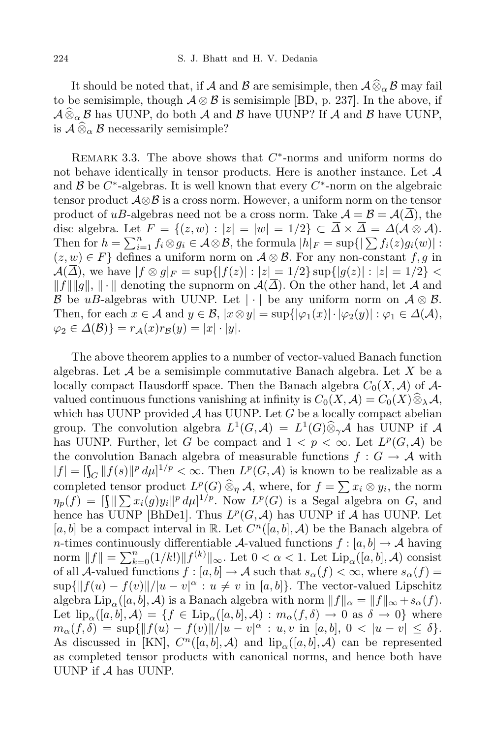It should be noted that, if *A* and *B* are semisimple, then  $\mathcal{A}\widehat{\otimes}_{\alpha}\mathcal{B}$  may fail to be semisimple, though  $A \otimes B$  is semisimple [BD, p. 237]. In the above, if  $A\widehat{\otimes}_{\alpha} \mathcal{B}$  has UUNP, do both *A* and *B* have UUNP? If *A* and *B* have UUNP, is  $\mathcal{A} \widehat{\otimes}_{\alpha} \mathcal{B}$  necessarily semisimple?

REMARK 3.3. The above shows that  $C^*$ -norms and uniform norms do not behave identically in tensor products. Here is another instance. Let *A* and  $\mathcal{B}$  be  $C^*$ -algebras. It is well known that every  $C^*$ -norm on the algebraic tensor product *A⊗B* is a cross norm. However, a uniform norm on the tensor product of *uB*-algebras need not be a cross norm. Take  $A = B = A(\overline{\Delta})$ , the disc algebra. Let  $F = \{(z, w) : |z| = |w| = 1/2\} \subset \overline{\Delta} \times \overline{\Delta} = \Delta(\mathcal{A} \otimes \mathcal{A}).$ Then for  $h = \sum_{i=1}^n f_i \otimes g_i \in \mathcal{A} \otimes \mathcal{B}$ , the formula  $|h|_F = \sup\{|\sum f_i(z)g_i(w)| :$  $(z, w) ∈ F$ } defines a uniform norm on  $A ⊗ B$ . For any non-constant *f, g* in  $\mathcal{A}(\overline{\Delta})$ , we have  $|f \otimes g|_F = \sup\{|f(z)| : |z| = 1/2\} \sup\{|g(z)| : |z| = 1/2\}$  $||f|| ||g||$ ,  $|| \cdot ||$  denoting the supnorm on  $\mathcal{A}(\overline{\Delta})$ . On the other hand, let *A* and *B* be *uB*-algebras with UUNP. Let  $| \cdot |$  be any uniform norm on  $A \otimes B$ . Then, for each  $x \in A$  and  $y \in B$ ,  $|x \otimes y| = \sup\{|\varphi_1(x)| \cdot |\varphi_2(y)| : \varphi_1 \in \Delta(A),\}$  $\varphi_2 \in \Delta(\mathcal{B})$ } =  $r_A(x)r_B(y) = |x| \cdot |y|$ .

The above theorem applies to a number of vector-valued Banach function algebras. Let *A* be a semisimple commutative Banach algebra. Let *X* be a locally compact Hausdorff space. Then the Banach algebra  $C_0(X, \mathcal{A})$  of  $\mathcal{A}$ valued continuous functions vanishing at infinity is  $C_0(X, \mathcal{A}) = C_0(X) \widehat{\otimes}_{\lambda} \mathcal{A}$ , which has UUNP provided  $A$  has UUNP. Let  $G$  be a locally compact abelian group. The convolution algebra  $L^1(G, \mathcal{A}) = L^1(G) \widehat{\otimes}_{\gamma} \mathcal{A}$  has UUNP if  $\mathcal{A}$ has UUNP. Further, let *G* be compact and  $1 < p < \infty$ . Let  $L^p(G, \mathcal{A})$  be the convolution Banach algebra of measurable functions  $f : G \to \mathcal{A}$  with  $|f| = \left[\int_G ||f(s)||^p d\mu\right]^{1/p} < \infty$ . Then  $L^p(G, \mathcal{A})$  is known to be realizable as a completed tensor product  $L^p(G) \widehat{\otimes}_p \mathcal{A}$ , where, for  $f = \sum x_i \otimes y_i$ , the norm  $\eta_p(f) = \left[ \int \! \frac{\|\sum x_i(g)y_i\|^p d\mu\}^{1/p}$ . Now  $L^p(G)$  is a Segal algebra on *G*, and hence has UUNP [BhDe1]. Thus  $L^p(G, \mathcal{A})$  has UUNP if  $\mathcal A$  has UUNP. Let [ $a, b$ ] be a compact interval in R. Let  $C^n([a, b], \mathcal{A})$  be the Banach algebra of *n*-times continuously differentiable *A*-valued functions  $f : [a, b] \rightarrow A$  having  $\lim_{k \to \infty} \|f\| = \sum_{k=0}^{n} (1/k!) \|f^{(k)}\|_{\infty}$ . Let  $0 < \alpha < 1$ . Let  $\text{Lip}_{\alpha}([a, b], \mathcal{A})$  consist of all *A*-valued functions  $f : [a, b] \to A$  such that  $s_\alpha(f) < \infty$ , where  $s_\alpha(f) =$  $\sup\{\|f(u) - f(v)\|/|u - v|^{\alpha}: u \neq v \text{ in } [a, b]\}.$  The vector-valued Lipschitz algebra  $\text{Lip}_{\alpha}([a,b], \mathcal{A})$  is a Banach algebra with norm  $||f||_{\alpha} = ||f||_{\infty} + s_{\alpha}(f)$ . Let  $\text{lip}_{\alpha}([a,b], \mathcal{A}) = \{f \in \text{Lip}_{\alpha}([a,b], \mathcal{A}) : m_{\alpha}(f,\delta) \to 0 \text{ as } \delta \to 0\}$  where  $m_{\alpha}(f,\delta) = \sup{\{\|f(u) - f(v)\|/|u - v|^{\alpha} : u, v \text{ in } [a,b], 0 < |u - v| \leq \delta\}}.$ As discussed in [KN],  $C^n([a, b], \mathcal{A})$  and  $\text{lip}_\alpha([a, b], \mathcal{A})$  can be represented as completed tensor products with canonical norms, and hence both have UUNP if *A* has UUNP.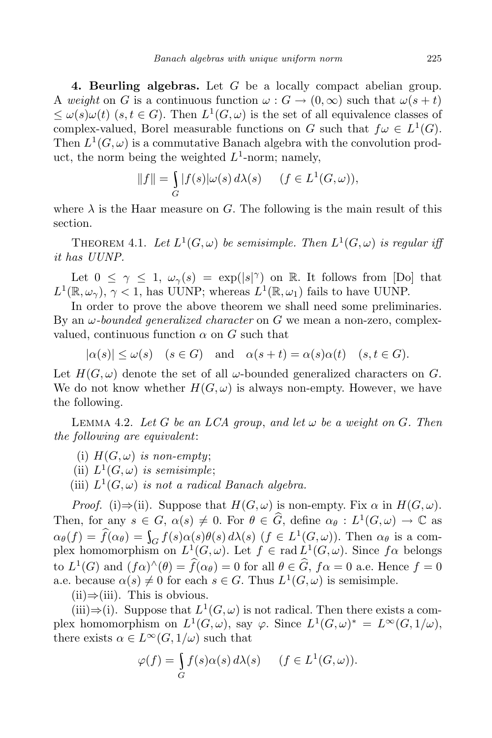**4. Beurling algebras.** Let *G* be a locally compact abelian group. A *weight* on *G* is a continuous function  $\omega$ :  $G \to (0, \infty)$  such that  $\omega(s + t)$  $≤$  *ω*(*s*)*ω*(*t*) (*s, t* ∈ *G*). Then *L*<sup>1</sup>(*G*, *ω*) is the set of all equivalence classes of complex-valued, Borel measurable functions on *G* such that  $f\omega \in L^1(G)$ . Then  $L^1(G, \omega)$  is a commutative Banach algebra with the convolution product, the norm being the weighted *L* 1 -norm; namely,

$$
||f|| = \int_G |f(s)|\omega(s) d\lambda(s) \quad (f \in L^1(G, \omega)),
$$

where  $\lambda$  is the Haar measure on *G*. The following is the main result of this section.

THEOREM 4.1. Let  $L^1(G, \omega)$  be semisimple. Then  $L^1(G, \omega)$  is regular iff *it has UUNP.*

Let  $0 \leq \gamma \leq 1$ ,  $\omega_{\gamma}(s) = \exp(|s|^{\gamma})$  on R. It follows from [Do] that  $L^1(\mathbb{R}, \omega_\gamma)$ ,  $\gamma < 1$ , has UUNP; whereas  $L^1(\mathbb{R}, \omega_1)$  fails to have UUNP.

In order to prove the above theorem we shall need some preliminaries. By an *ω-bounded generalized character* on *G* we mean a non-zero, complexvalued, continuous function  $\alpha$  on  $G$  such that

 $|a(s)| \leq \omega(s)$  (*s*  $\in$  *G*) and  $\alpha(s+t) = \alpha(s)\alpha(t)$  (*s,t*  $\in$  *G*).

Let  $H(G, \omega)$  denote the set of all  $\omega$ -bounded generalized characters on *G*. We do not know whether  $H(G, \omega)$  is always non-empty. However, we have the following.

**LEMMA 4.2.** Let G be an LCA group, and let  $\omega$  be a weight on G. Then *the following are equivalent*:

(i)  $H(G, \omega)$  *is non-empty*;

(ii)  $L^1(G, \omega)$  *is semisimple*;

(iii)  $L^1(G, \omega)$  *is not a radical Banach algebra.* 

*Proof.* (i) $\Rightarrow$ (ii). Suppose that  $H(G, \omega)$  is non-empty. Fix  $\alpha$  in  $H(G, \omega)$ . Then, for any  $s \in G$ ,  $\alpha(s) \neq 0$ . For  $\theta \in \widehat{G}$ , define  $\alpha_{\theta}: L^1(G, \omega) \to \mathbb{C}$  as  $\alpha_{\theta}(f) = \hat{f}(\alpha_{\theta}) = \int_{G} f(s) \alpha(s) \theta(s) d\lambda(s)$   $(f \in L^{1}(G, \omega))$ . Then  $\alpha_{\theta}$  is a complex homomorphism on  $L^1(G, \omega)$ . Let  $f \in rad L^1(G, \omega)$ . Since  $f\alpha$  belongs to  $L^1(G)$  and  $(f\alpha)^\wedge(\theta) = \hat{f}(\alpha_\theta) = 0$  for all  $\theta \in \hat{G}$ ,  $f\alpha = 0$  a.e. Hence  $f = 0$ a.e. because  $\alpha(s) \neq 0$  for each  $s \in G$ . Thus  $L^1(G, \omega)$  is semisimple.

(ii)*⇒*(iii). This is obvious.

(iii) $\Rightarrow$ (i). Suppose that  $L^1(G,\omega)$  is not radical. Then there exists a complex homomorphism on  $L^1(G, \omega)$ , say  $\varphi$ . Since  $L^1(G, \omega)^* = L^{\infty}(G, 1/\omega)$ , there exists  $\alpha \in L^{\infty}(G, 1/\omega)$  such that

$$
\varphi(f) = \int_{G} f(s)\alpha(s) d\lambda(s) \quad (f \in L^{1}(G, \omega)).
$$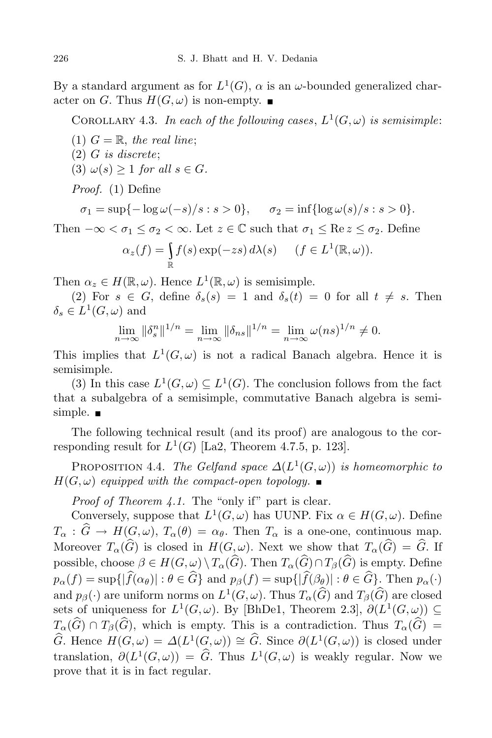By a standard argument as for  $L^1(G)$ ,  $\alpha$  is an  $\omega$ -bounded generalized character on *G*. Thus  $H(G, \omega)$  is non-empty.

COROLLARY 4.3. In each of the following cases,  $L^1(G, \omega)$  is semisimple:

- (1)  $G = \mathbb{R}$ , the real line;
- (2) *G is discrete*;
- $(3) \omega(s) \geq 1$  *for all*  $s \in G$ *.*

*Proof.* (1) Define

 $\sigma_1 = \sup\{-\log \omega(-s)/s : s > 0\}, \quad \sigma_2 = \inf\{\log \omega(s)/s : s > 0\}.$ 

Then  $-\infty < \sigma_1 \leq \sigma_2 < \infty$ . Let  $z \in \mathbb{C}$  such that  $\sigma_1 \leq \text{Re } z \leq \sigma_2$ . Define

$$
\alpha_z(f) = \int_{\mathbb{R}} f(s) \exp(-zs) d\lambda(s) \quad (f \in L^1(\mathbb{R}, \omega)).
$$

Then  $\alpha_z \in H(\mathbb{R}, \omega)$ . Hence  $L^1(\mathbb{R}, \omega)$  is semisimple.

(2) For  $s \in G$ , define  $\delta_s(s) = 1$  and  $\delta_s(t) = 0$  for all  $t \neq s$ . Then  $\delta_s \in L^1(G, \omega)$  and

$$
\lim_{n \to \infty} \|\delta_s^n\|^{1/n} = \lim_{n \to \infty} \|\delta_{ns}\|^{1/n} = \lim_{n \to \infty} \omega(ns)^{1/n} \neq 0.
$$

This implies that  $L^1(G, \omega)$  is not a radical Banach algebra. Hence it is semisimple.

(3) In this case  $L^1(G, \omega) \subseteq L^1(G)$ . The conclusion follows from the fact that a subalgebra of a semisimple, commutative Banach algebra is semisimple.  $\blacksquare$ 

The following technical result (and its proof) are analogous to the corresponding result for  $L^1(G)$  [La2, Theorem 4.7.5, p. 123].

PROPOSITION 4.4. *The Gelfand space*  $\Delta(L^1(G, \omega))$  *is homeomorphic to*  $H(G, \omega)$  *equipped with* the *compact-open topology*.

*Proof of Theorem 4.1.* The "only if" part is clear.

Conversely, suppose that  $L^1(G, \omega)$  has UUNP. Fix  $\alpha \in H(G, \omega)$ . Define  $T_{\alpha}$  :  $\hat{G} \rightarrow H(G,\omega), T_{\alpha}(\theta) = \alpha_{\theta}$ . Then  $T_{\alpha}$  is a one-one, continuous map. Moreover  $T_{\alpha}(\widehat{G})$  is closed in  $H(G, \omega)$ . Next we show that  $T_{\alpha}(\widehat{G}) = \widehat{G}$ . If possible, choose  $\beta \in H(G, \omega) \setminus T_\alpha(\widehat{G})$ . Then  $T_\alpha(\widehat{G}) \cap T_\beta(\widehat{G})$  is empty. Define  $p_{\alpha}(f) = \sup\{|\widehat{f}(\alpha_{\theta})| : \theta \in \widehat{G}\}\$ and  $p_{\beta}(f) = \sup\{|\widehat{f}(\beta_{\theta})| : \theta \in \widehat{G}\}\.$  Then  $p_{\alpha}(\cdot)$ and  $p_\beta(\cdot)$  are uniform norms on  $L^1(G, \omega)$ . Thus  $T_\alpha(\widehat{G})$  and  $T_\beta(\widehat{G})$  are closed sets of uniqueness for  $L^1(G, \omega)$ . By [BhDe1, Theorem 2.3],  $\partial(L^1(G, \omega)) \subseteq$  $T_{\alpha}(\widehat{G}) \cap T_{\beta}(\widehat{G})$ , which is empty. This is a contradiction. Thus  $T_{\alpha}(\widehat{G}) =$  $\widehat{G}$ . Hence  $H(G, \omega) = \Delta(L^1(G, \omega)) \cong \widehat{G}$ . Since  $\partial(L^1(G, \omega))$  is closed under translation,  $\partial(L^1(G,\omega)) = \hat{G}$ . Thus  $L^1(G,\omega)$  is weakly regular. Now we prove that it is in fact regular.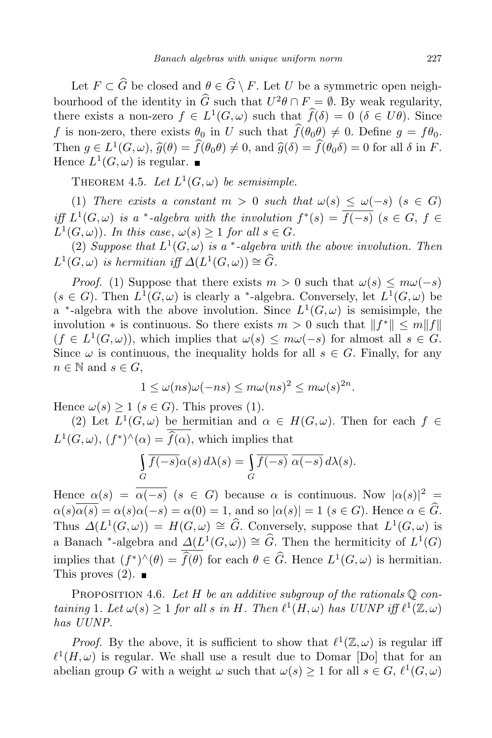Let  $F \subset \widehat{G}$  be closed and  $\theta \in \widehat{G} \setminus F$ . Let *U* be a symmetric open neighbourhood of the identity in  $\hat{G}$  such that  $U^2\theta \cap F = \emptyset$ . By weak regularity, there exists a non-zero  $f \in L^1(G, \omega)$  such that  $f(\delta) = 0$  ( $\delta \in U\theta$ ). Since *f* is non-zero, there exists  $\theta_0$  in *U* such that  $\hat{f}(\theta_0 \theta) \neq 0$ . Define  $g = f\theta_0$ . Then  $g \in L^1(G, \omega)$ ,  $\hat{g}(\theta) = f(\theta_0 \theta) \neq 0$ , and  $\hat{g}(\delta) = f(\theta_0 \delta) = 0$  for all  $\delta$  in *F*. Hence  $L^1(G, \omega)$  is regular.

THEOREM 4.5. Let  $L^1(G, \omega)$  be semisimple.

(1) *There exists* a *constant*  $m > 0$  *such that*  $\omega(s) \leq \omega(-s)$  ( $s \in G$ ) iff  $L^1(G,\omega)$  is a \*-algebra with the involution  $f^*(s) = \overline{f(-s)}$   $(s \in G, f \in$  $L^1(G, \omega)$ *). In this case,*  $\omega(s) \geq 1$  *for all*  $s \in G$ *.* 

(2) Suppose that  $L^1(G, \omega)$  is a \*-algebra with the above involution. Then  $L^1(G, \omega)$  *is hermitian iff*  $\Delta(L^1(G, \omega)) \cong \widehat{G}$ *.* 

*Proof.* (1) Suppose that there exists  $m > 0$  such that  $\omega(s) \leq m\omega(-s)$  $(s \in G)$ . Then  $L^1(G, \omega)$  is clearly a <sup>\*</sup>-algebra. Conversely, let  $L^1(G, \omega)$  be a <sup>\*</sup>-algebra with the above involution. Since  $L^1(G, \omega)$  is semisimple, the involution  $*$  is continuous. So there exists  $m > 0$  such that  $||f^*|| \le m||f||$  $(f \in L^1(G, \omega))$ , which implies that  $\omega(s) \leq m\omega(-s)$  for almost all  $s \in G$ . Since  $\omega$  is continuous, the inequality holds for all  $s \in G$ . Finally, for any  $n \in \mathbb{N}$  and  $s \in G$ ,

$$
1 \le \omega(ns)\omega(-ns) \le m\omega(ns)^2 \le m\omega(s)^{2n}.
$$

Hence  $\omega(s) \geq 1$  ( $s \in G$ ). This proves (1).

(2) Let  $L^1(G, \omega)$  be hermitian and  $\alpha \in H(G, \omega)$ . Then for each  $f \in$  $L^1(G, \omega)$ ,  $(f^*)^{\wedge}(\alpha) = f(\alpha)$ , which implies that

$$
\int_{G} \overline{f(-s)}\alpha(s) d\lambda(s) = \int_{G} \overline{f(-s)} \overline{\alpha(-s)} d\lambda(s).
$$

Hence  $\alpha(s) = \overline{\alpha(-s)}$  ( $s \in G$ ) because  $\alpha$  is continuous. Now  $|\alpha(s)|^2 =$  $\alpha(s)\overline{\alpha(s)} = \alpha(s)\alpha(-s) = \alpha(0) = 1$ , and so  $|\alpha(s)| = 1$  ( $s \in G$ ). Hence  $\alpha \in \widehat{G}$ . Thus  $\Delta(L^1(G, \omega)) = H(G, \omega) \cong \widehat{G}$ . Conversely, suppose that  $L^1(G, \omega)$  is a Banach <sup>\*</sup>-algebra and  $\underline{\Delta}(L^1(G,\omega)) \cong \widehat{G}$ . Then the hermiticity of  $L^1(G)$ implies that  $(f^*)^{\wedge}(\theta) = \widehat{f}(\theta)$  for each  $\theta \in \widehat{G}$ . Hence  $L^1(G,\omega)$  is hermitian. This proves  $(2)$ .

PROPOSITION 4.6. Let  $H$  be an additive subgroup of the rationals  $\mathbb{Q}$  containing 1. Let  $\omega(s) \geq 1$  for all s in H. Then  $\ell^1(H,\omega)$  has UUNP iff  $\ell^1(\mathbb{Z},\omega)$ *has UUNP.*

*Proof.* By the above, it is sufficient to show that  $\ell^1(\mathbb{Z}, \omega)$  is regular iff  $\ell^1(H,\omega)$  is regular. We shall use a result due to Domar [Do] that for an abelian group *G* with a weight  $\omega$  such that  $\omega(s) \geq 1$  for all  $s \in G$ ,  $\ell^1(G, \omega)$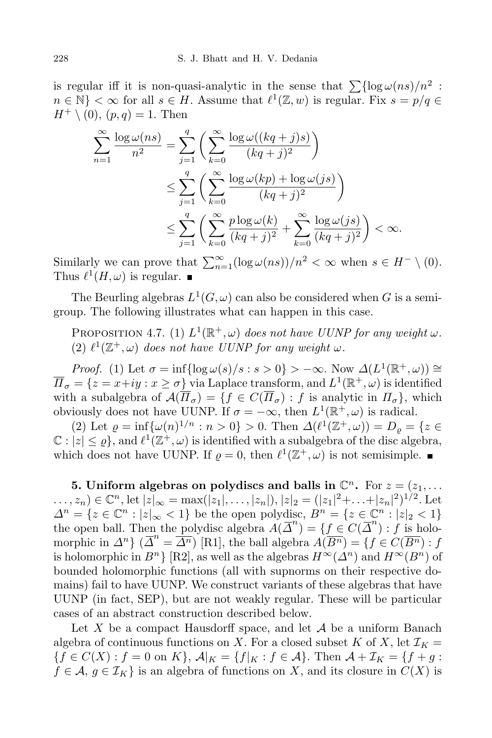is regular iff it is non-quasi-analytic in the sense that  $\sum {\log \omega(ns)/n^2}$ :  $n \in \mathbb{N}$   $\leq \infty$  for all  $s \in H$ . Assume that  $\ell^1(\mathbb{Z}, w)$  is regular. Fix  $s = p/q \in \mathbb{N}$  $H^+ \setminus (0), (p,q) = 1.$  Then

$$
\sum_{n=1}^{\infty} \frac{\log \omega(ns)}{n^2} = \sum_{j=1}^{q} \left( \sum_{k=0}^{\infty} \frac{\log \omega((kq+j)s)}{(kq+j)^2} \right)
$$
  

$$
\leq \sum_{j=1}^{q} \left( \sum_{k=0}^{\infty} \frac{\log \omega(kp) + \log \omega(js)}{(kq+j)^2} \right)
$$
  

$$
\leq \sum_{j=1}^{q} \left( \sum_{k=0}^{\infty} \frac{p \log \omega(k)}{(kq+j)^2} + \sum_{k=0}^{\infty} \frac{\log \omega(js)}{(kq+j)^2} \right) < \infty.
$$

Similarly we can prove that  $\sum_{n=1}^{\infty} (\log \omega(ns))/n^2 < \infty$  when  $s \in H^- \setminus (0)$ . Thus  $\ell^1(H, \omega)$  is regular.

The Beurling algebras  $L^1(G, \omega)$  can also be considered when *G* is a semigroup. The following illustrates what can happen in this case.

PROPOSITION 4.7. (1)  $L^1(\mathbb{R}^+, \omega)$  does not have UUNP for any weight  $\omega$ .  $(2)$   $\ell^1(\mathbb{Z}^+,\omega)$  *does not have UUNP for any weight*  $\omega$ *.* 

*Proof.* (1) Let  $\sigma = \inf\{\log \omega(s)/s : s > 0\} > -\infty$ . Now  $\Delta(L^1(\mathbb{R}^+, \omega)) \cong$  $\overline{\Pi}_{\sigma} = \{z = x + iy : x \geq \sigma\}$  via Laplace transform, and  $L^1(\mathbb{R}^+, \omega)$  is identified with a subalgebra of  $\mathcal{A}(\overline{\Pi}_{\sigma}) = \{f \in C(\overline{\Pi}_{\sigma}) : f \text{ is analytic in } \Pi_{\sigma}\}\$ , which obviously does not have UUNP. If  $\sigma = -\infty$ , then  $L^1(\mathbb{R}^+, \omega)$  is radical.

 $(2) \text{ Let } \rho = \inf \{ \omega(n)^{1/n} : n > 0 \} > 0. \text{ Then } \Delta(\ell^1(\mathbb{Z}^+, \omega)) = D_\rho = \{ z \in \mathbb{Z}^+ \mid z = 0 \}$  $\mathbb{C}: |z| \leq \varrho$ , and  $\ell^1(\mathbb{Z}^+, \omega)$  is identified with a subalgebra of the disc algebra, which does not have UUNP. If  $\varrho = 0$ , then  $\ell^1(\mathbb{Z}^+, \omega)$  is not semisimple.

**5. Uniform algebras** on polydiscs and balls in  $\mathbb{C}^n$ . For  $z = (z_1, \ldots, z_n)$  $\dots, z_n) \in \mathbb{C}^n$ , let  $|z|_{\infty} = \max(|z_1|, \dots, |z_n|), |z|_2 = (|z_1|^2 + \dots + |z_n|^2)^{1/2}$ . Let  $\Delta^n = \{z \in \mathbb{C}^n : |z|_{\infty} < 1\}$  be the open polydisc,  $B^n = \{z \in \mathbb{C}^n : |z|_2 < 1\}$ the open ball. Then the polydisc algebra  $\widetilde{A}(\overline{\Delta}^n) = \{f \in C(\overline{\Delta}^n) : f \text{ is holomorphic} \}$ morphic in  $\Delta^n$  {  $\overline{\Delta}^n = \overline{\Delta^n}$ ) [R1], the ball algebra  $\overline{A(B^n)} = \{f \in C(\overline{B^n}) : f\}$ is holomorphic in  $B^n$ } [R2], as well as the algebras  $H^\infty(\Delta^n)$  and  $H^\infty(B^n)$  of bounded holomorphic functions (all with supnorms on their respective domains) fail to have UUNP. We construct variants of these algebras that have UUNP (in fact, SEP), but are not weakly regular. These will be particular cases of an abstract construction described below.

Let *X* be a compact Hausdorff space, and let *A* be a uniform Banach algebra of continuous functions on *X*. For a closed subset *K* of *X*, let  $\mathcal{I}_K$  =  ${f \in C(X) : f = 0 \text{ on } K}, \mathcal{A}|_K = {f|_K : f \in \mathcal{A}}. \text{ Then } \mathcal{A} + \mathcal{I}_K = {f + g :}$  $f \in \mathcal{A}, g \in \mathcal{I}_K$  is an algebra of functions on *X*, and its closure in  $C(X)$  is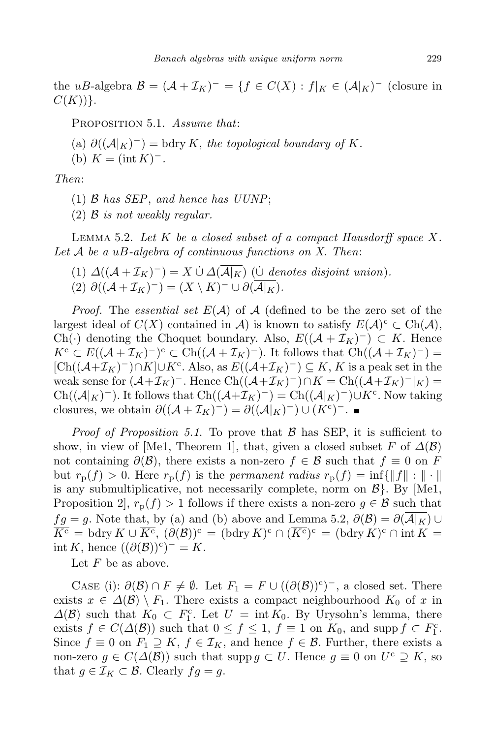the *uB*-algebra  $\mathcal{B} = (\mathcal{A} + \mathcal{I}_K)^{-} = \{f \in C(X) : f|_K \in (\mathcal{A}|_K)^{-} \text{ (closure in)}\}$ *C*(*K*))*}*.

Proposition 5.1. *Assume that*:

- $\partial((\mathcal{A}|K)^{-}) = \text{bdry } K$ , the topological boundary of K.
- (b)  $K = (\text{int } K)^{-}$ .

*Then*:

- (1) *B has SEP*, *and hence has UUNP*;
- (2) *B is not weakly regular.*

Lemma 5.2. *Let K be a closed subset of a compact Hausdorff space X. Let A be a uB-algebra of continuous functions on X. Then*:

 $(1) \Delta((\mathcal{A} + \mathcal{I}_K)^{-}) = X \cup \Delta(\overline{\mathcal{A}|_K})$  ( $\underline{\cup}$  *denotes disjoint union*).  $(2)$   $\partial((\mathcal{A} + \mathcal{I}_K)^{-}) = (X \setminus K)^{-} \cup \partial(\mathcal{A}|_K).$ 

*Proof.* The *essential set E*(*A*) of *A* (defined to be the zero set of the largest ideal of  $C(X)$  contained in *A*) is known to satisfy  $E(\mathcal{A})^c \subset \text{Ch}(\mathcal{A}),$ Ch( $\cdot$ ) denoting the Choquet boundary. Also,  $E((A + \mathcal{I}_K)^-) \subset K$ . Hence  $K^c \subset E((\mathcal{A} + \mathcal{I}_K)^-)^c \subset \text{Ch}((\mathcal{A} + \mathcal{I}_K)^-)$ . It follows that  $\text{Ch}((\mathcal{A} + \mathcal{I}_K)^-) =$  $[Ch((\mathcal{A}+\mathcal{I}_K)^-) \cap K] \cup K^c$ . Also, as  $E((\mathcal{A}+\mathcal{I}_K)^-) \subseteq K$ , *K* is a peak set in the weak sense for  $(A+\mathcal{I}_K)^-$ . Hence  $Ch((\mathcal{A}+\mathcal{I}_K)^-)\cap K=Ch((\mathcal{A}+\mathcal{I}_K)^-|_K)=$  $Ch((\mathcal{A}|_K)^-)$ . It follows that  $Ch((\mathcal{A}+\mathcal{I}_K)^-) = Ch((\mathcal{A}|_K)^-) \cup K^c$ . Now taking closures, we obtain  $\partial((\mathcal{A} + \mathcal{I}_K)^-) = \partial((\mathcal{A}|_K)^-) \cup (K^c)^-$ .

*Proof of Proposition 5.1*. To prove that *B* has SEP, it is sufficient to show, in view of [Me1, Theorem 1], that, given a closed subset *F* of  $\Delta(\mathcal{B})$ not containing  $\partial(\mathcal{B})$ , there exists a non-zero  $f \in \mathcal{B}$  such that  $f \equiv 0$  on  $F$ but  $r_p(f) > 0$ . Here  $r_p(f)$  is the *permanent radius*  $r_p(f) = \inf\{\|f\| : \| \cdot \|$ is any submultiplicative, not necessarily complete, norm on *B}*. By [Me1, Proposition 2,  $r_p(f) > 1$  follows if there exists a non-zero  $g \in \mathcal{B}$  such that *fg* = *g*. Note that, by (a) and (b) above and Lemma 5.2,  $\partial(\mathcal{B}) = \partial(\overline{\mathcal{A}|_K}) \cup$  $\overline{K^c}$  = bdry  $K \cup \overline{K^c}$ ,  $(\partial(\mathcal{B}))^c$  = (bdry  $K)^c \cap (\overline{K^c})^c$  = (bdry  $K)^c \cap \text{int } K$  =  $int K$ , hence  $((\partial(\mathcal{B}))^c)^{-1} = K$ .

Let *F* be as above.

CASE (i):  $\partial(\mathcal{B}) \cap F \neq \emptyset$ . Let  $F_1 = F \cup ((\partial(\mathcal{B}))^c)^{-}$ , a closed set. There exists  $x \in \Delta(\mathcal{B}) \setminus F_1$ . There exists a compact neighbourhood  $K_0$  of x in  $\Delta(\mathcal{B})$  such that  $K_0$  ⊂  $F_1^c$ . Let  $U = \text{int } K_0$ . By Urysohn's lemma, there exists  $f \in C(\Delta(\mathcal{B}))$  such that  $0 \le f \le 1$ ,  $f \equiv 1$  on  $K_0$ , and supp  $f \subset F_1^c$ . Since  $f \equiv 0$  on  $F_1 \supseteq K$ ,  $f \in \mathcal{I}_K$ , and hence  $f \in \mathcal{B}$ . Further, there exists a non-zero  $g \in C(\Delta(\mathcal{B}))$  such that supp  $g \subset U$ . Hence  $g \equiv 0$  on  $U^c \supseteq K$ , so that  $g \in \mathcal{I}_K \subset \mathcal{B}$ . Clearly  $fg = g$ .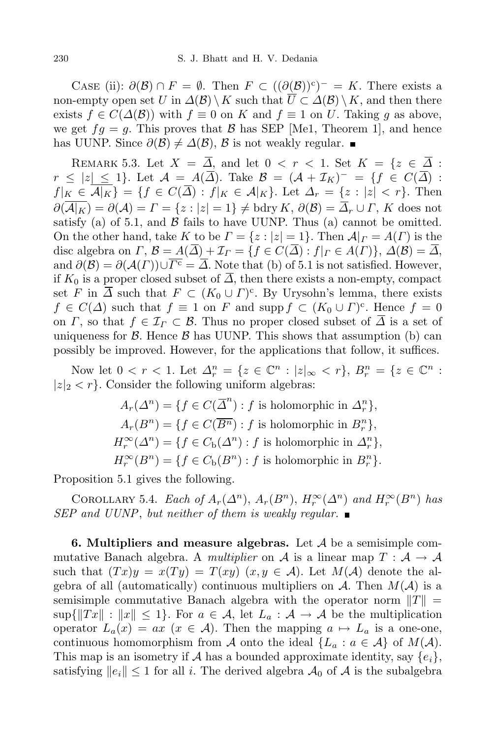CASE (ii):  $\partial(\mathcal{B}) \cap F = \emptyset$ . Then  $F \subset ((\partial(\mathcal{B}))^c)^- = K$ . There exists a non-empty open set *U* in  $\Delta(\mathcal{B}) \setminus K$  such that  $U \subset \Delta(\mathcal{B}) \setminus K$ , and then there exists  $f \in C(\Delta(\mathcal{B}))$  with  $f \equiv 0$  on  $K$  and  $f \equiv 1$  on  $U$ . Taking  $g$  as above, we get  $fg = g$ . This proves that *B* has SEP [Me1, Theorem 1], and hence has UUNP. Since  $\partial(\mathcal{B}) \neq \Delta(\mathcal{B})$ ,  $\mathcal{B}$  is not weakly regular. ■

REMARK 5.3. Let  $X = \overline{\Delta}$ , and let  $0 < r < 1$ . Set  $K = \{z \in \overline{\Delta} :$  $r \leq |z| \leq 1$ . Let  $\mathcal{A} = A(\Delta)$ . Take  $\mathcal{B} = (\mathcal{A} + \mathcal{I}_K)^{-} = \{f \in C(\Delta) : f \in C(\Delta) \}$  $f|_K \in \overline{\mathcal{A}|_K} = \{f \in C(\overline{\Delta}) : f|_K \in \mathcal{A}|_K\}.$  Let  $\Delta_r = \{z : |z| < r\}.$  Then  $\partial(\overline{\mathcal{A}|_K}) = \partial(\mathcal{A}) = \Gamma = \{z : |z| = 1\} \neq \text{bdry } K, \ \partial(\mathcal{B}) = \overline{\Delta}_r \cup \Gamma, K \text{ does not }$ satisfy (a) of 5.1, and  $\beta$  fails to have UUNP. Thus (a) cannot be omitted. On the other hand, take *K* to be  $\Gamma = \{z : |z| = 1\}$ . Then  $\mathcal{A}|_{\Gamma} = A(\Gamma)$  is the disc algebra on  $\Gamma$ ,  $\mathcal{B} = A(\overline{\Delta}) + \mathcal{I}_{\Gamma} = \{f \in C(\overline{\Delta}) : f|_{\Gamma} \in A(\Gamma)\}, \Delta(\mathcal{B}) = \overline{\Delta}$ , and  $\partial(\mathcal{B}) = \partial(\mathcal{A}(\Gamma)) \cup \overline{\Gamma^c} = \overline{\Delta}$ . Note that (b) of 5.1 is not satisfied. However, if  $K_0$  is a proper closed subset of  $\overline{\Delta}$ , then there exists a non-empty, compact set *F* in  $\overline{\Delta}$  such that  $F \subset (K_0 \cup \Gamma)^c$ . By Urysohn's lemma, there exists  $f \in C(\Delta)$  such that  $f \equiv 1$  on *F* and supp  $f \subset (K_0 \cup \Gamma)^c$ . Hence  $f = 0$ on *Γ*, so that  $f \in \mathcal{I}_\Gamma \subset \mathcal{B}$ . Thus no proper closed subset of  $\overline{\Delta}$  is a set of uniqueness for  $\beta$ . Hence  $\beta$  has UUNP. This shows that assumption (b) can possibly be improved. However, for the applications that follow, it suffices.

Now let  $0 < r < 1$ . Let  $\Delta_r^n = \{ z \in \mathbb{C}^n : |z|_{\infty} < r \}, B_r^n = \{ z \in \mathbb{C}^n :$  $|z|_2 < r$ . Consider the following uniform algebras:

$$
A_r(\Delta^n) = \{ f \in C(\overline{\Delta}^n) : f \text{ is holomorphic in } \Delta_r^n \},
$$
  
\n
$$
A_r(B^n) = \{ f \in C(\overline{B^n}) : f \text{ is holomorphic in } B_r^n \},
$$
  
\n
$$
H_r^{\infty}(\Delta^n) = \{ f \in C_{\text{b}}(\Delta^n) : f \text{ is holomorphic in } \Delta_r^n \},
$$
  
\n
$$
H_r^{\infty}(B^n) = \{ f \in C_{\text{b}}(B^n) : f \text{ is holomorphic in } B_r^n \}.
$$

Proposition 5.1 gives the following.

COROLLARY 5.4. *Each* of  $A_r(\Delta^n)$ ,  $A_r(B^n)$ ,  $H_r^{\infty}(\Delta^n)$  and  $H_r^{\infty}(B^n)$  has *SEP and UUNP*, *but neither of them is weakly regular.*

**6. Multipliers and measure algebras.** Let *A* be a semisimple commutative Banach algebra. A *multiplier* on  $A$  is a linear map  $T : A \rightarrow A$ such that  $(Tx)y = x(Ty) = T(xy)$   $(x, y \in A)$ . Let  $M(A)$  denote the algebra of all (automatically) continuous multipliers on  $A$ . Then  $M(A)$  is a semisimple commutative Banach algebra with the operator norm  $||T|| =$  $\sup\{\|Tx\| : \|x\| \leq 1\}$ . For  $a \in \mathcal{A}$ , let  $L_a : \mathcal{A} \to \mathcal{A}$  be the multiplication operator  $L_a(x) = ax$  ( $x \in A$ ). Then the mapping  $a \mapsto L_a$  is a one-one, continuous homomorphism from *A* onto the ideal  ${L_a : a \in A}$  of  $M(A)$ . This map is an isometry if *A* has a bounded approximate identity, say  $\{e_i\}$ , satisfying  $||e_i|| \leq 1$  for all *i*. The derived algebra  $\mathcal{A}_0$  of  $\mathcal{A}$  is the subalgebra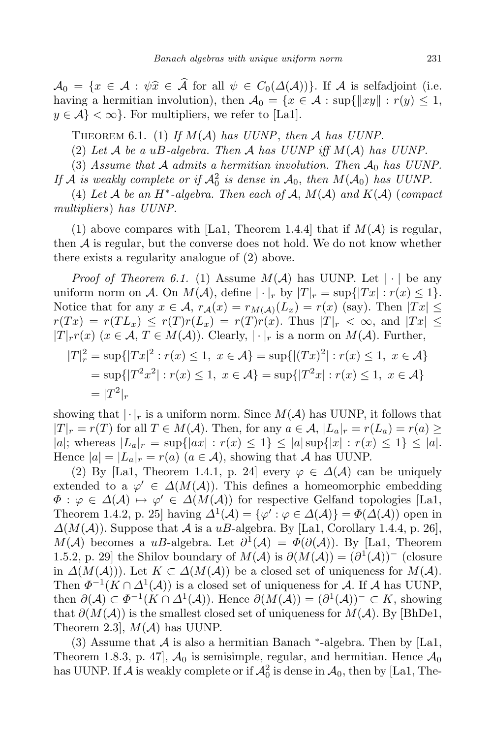$A_0 = \{x \in \mathcal{A} : \psi \hat{x} \in \mathcal{\hat{A}} \text{ for all } \psi \in C_0(\Delta(\mathcal{A}))\}$ . If *A* is selfadjoint (i.e. having a hermitian involution), then  $A_0 = \{x \in A : \sup\{\|xy\| : r(y) \leq 1,$  $y \in \mathcal{A}$  <  $\infty$ }. For multipliers, we refer to [La1].

THEOREM 6.1. (1) If  $M(A)$  has *UUNP*, then *A* has *UUNP*.

(2) *Let A be a uB-algebra. Then A has UUNP iff M*(*A*) *has UUNP.*

(3) *Assume that A admits a hermitian involution. Then A*<sup>0</sup> *has UUNP.*

If *A* is weakly complete or if  $A_0^2$  is dense in  $A_0$ , then  $M(A_0)$  has *UUNP*.

 $(4)$  *Let*  $A$  *be an*  $H^*$ -algebra. Then each of  $A$ ,  $M(A)$  and  $K(A)$  (compact *multipliers*) *has UUNP.*

(1) above compares with [La1, Theorem 1.4.4] that if  $M(A)$  is regular, then  $A$  is regular, but the converse does not hold. We do not know whether there exists a regularity analogue of (2) above.

*Proof of Theorem* 6.1. (1) Assume  $M(A)$  has UUNP. Let  $|\cdot|$  be any uniform norm on *A*. On  $M(A)$ , define  $|\cdot|_r$  by  $|T|_r = \sup\{|Tx| : r(x) \leq 1\}$ . Notice that for any  $x \in A$ ,  $r_A(x) = r_{M(A)}(L_x) = r(x)$  (say). Then  $|Tx| \leq$  $r(Tx) = r(TL_x) \leq r(T)r(L_x) = r(T)r(x)$ . Thus  $|T|_r < \infty$ , and  $|Tx| \leq$ *|T*<sup>*|*</sup>*r*</sub> $r(x)$  (*x* ∈ *A*, *T* ∈ *M*(*A*)). Clearly,  $| \cdot |_r$  is a norm on *M*(*A*). Further,  $|T|_r^2 = \sup\{|Tx|^2 : r(x) \le 1, x \in \mathcal{A}\} = \sup\{|(Tx)^2| : r(x) \le 1, x \in \mathcal{A}\}\$  $=$  sup $\{ |T^2x^2| : r(x) \le 1, x \in \mathcal{A} \} = \sup\{ |T^2x| : r(x) \le 1, x \in \mathcal{A} \}$  $= |T^2|_r$ 

showing that  $|\cdot|_r$  is a uniform norm. Since  $M(A)$  has UUNP, it follows that  $|T|_r = r(T)$  for all  $T \in M(\mathcal{A})$ . Then, for any  $a \in \mathcal{A}, |L_a|_r = r(L_a) = r(a) \ge$ |a|; whereas  $|L_a|_r = \sup\{|ax| : r(x) \leq 1\} \leq |a| \sup\{|x| : r(x) \leq 1\} \leq |a|$ . Hence  $|a| = |L_a|_r = r(a)$  ( $a \in A$ ), showing that *A* has UUNP.

(2) By [La1, Theorem 1.4.1, p. 24] every  $\varphi \in \Delta(\mathcal{A})$  can be uniquely extended to a  $\varphi' \in \Delta(M(\mathcal{A}))$ . This defines a homeomorphic embedding  $\Phi: \varphi \in \Delta(\mathcal{A}) \mapsto \varphi' \in \Delta(M(\mathcal{A}))$  for respective Gelfand topologies [La1, Theorem 1.4.2, p. 25] having  $\Delta^1(\mathcal{A}) = {\varphi': \varphi \in \Delta(\mathcal{A})} = \Phi(\Delta(\mathcal{A}))$  open in  $\Delta(M(\mathcal{A}))$ . Suppose that  $\mathcal A$  is a *uB*-algebra. By [La1, Corollary 1.4.4, p. 26], *M*(*A*) becomes a *uB*-algebra. Let  $\partial^1(A) = \Phi(\partial(A))$ . By [La1, Theorem 1.5.2, p. 29] the Shilov boundary of  $M(A)$  is  $\partial(M(A)) = (\partial^1(A))^-$  (closure in *∆*(*M*(*A*))). Let *K ⊂ ∆*(*M*(*A*)) be a closed set of uniqueness for *M*(*A*). Then  $\Phi^{-1}(K \cap \Delta^1(\mathcal{A}))$  is a closed set of uniqueness for *A*. If *A* has UUNP, then  $\partial(A) \subset \Phi^{-1}(K \cap \Delta^1(\mathcal{A}))$ . Hence  $\partial(M(\mathcal{A})) = (\partial^1(\mathcal{A}))^- \subset K$ , showing that  $\partial(M(\mathcal{A}))$  is the smallest closed set of uniqueness for  $M(\mathcal{A})$ . By [BhDe1, Theorem 2.3], *M*(*A*) has UUNP.

(3) Assume that  $A$  is also a hermitian Banach  $*$ -algebra. Then by [La1, Theorem 1.8.3, p. 47,  $\mathcal{A}_0$  is semisimple, regular, and hermitian. Hence  $\mathcal{A}_0$ has UUNP. If  $A$  is weakly complete or if  $A_0^2$  is dense in  $A_0$ , then by [La1, The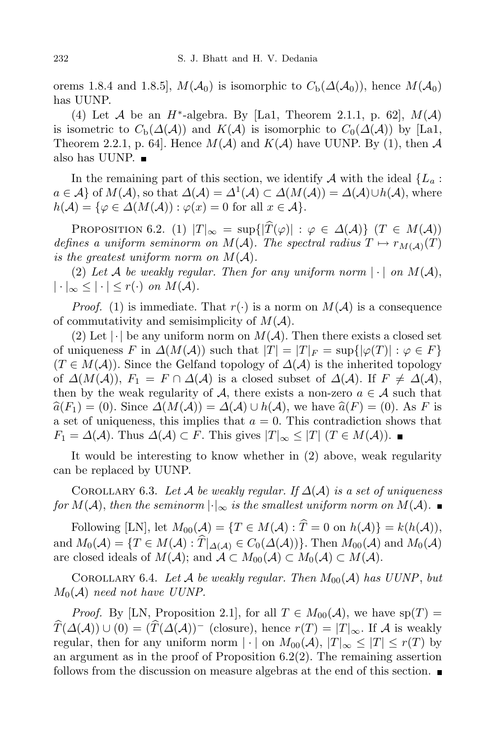orems 1.8.4 and 1.8.5,  $M(A_0)$  is isomorphic to  $C_b(\Delta(A_0))$ , hence  $M(A_0)$ has UUNP.

(4) Let *A* be an *H<sup>\*</sup>*-algebra. By [La1, Theorem 2.1.1, p. 62],  $M(A)$ is isometric to  $C_{\rm b}(\Delta(\mathcal{A}))$  and  $K(\mathcal{A})$  is isomorphic to  $C_0(\Delta(\mathcal{A}))$  by [La1, Theorem 2.2.1, p. 64. Hence  $M(A)$  and  $K(A)$  have UUNP. By (1), then A also has UUNP.  $\blacksquare$ 

In the remaining part of this section, we identify  $A$  with the ideal  ${L_a}$ :  $a \in A$ } of  $M(A)$ , so that  $\Delta(A) = \Delta^1(A) \subset \Delta(M(A)) = \Delta(A) \cup h(A)$ , where  $h(\mathcal{A}) = \{ \varphi \in \Delta(M(\mathcal{A})) : \varphi(x) = 0 \text{ for all } x \in \mathcal{A} \}.$ 

PROPOSITION 6.2. (1)  $|T|_{\infty} = \sup\{|\widehat{T}(\varphi)| : \varphi \in \Delta(\mathcal{A})\} \ (T \in M(\mathcal{A}))$ *defines a uniform seminorm on*  $M(A)$ *. The spectral radius*  $T \mapsto r_{M(A)}(T)$ *is* the greatest uniform norm on  $M(A)$ .

(2) Let A be weakly regular. Then for any uniform norm  $|\cdot|$  on  $M(A)$ ,  $|\cdot|_{\infty} \leq |\cdot| \leq r(\cdot)$  *on*  $M(\mathcal{A})$ .

*Proof.* (1) is immediate. That  $r(\cdot)$  is a norm on  $M(\mathcal{A})$  is a consequence of commutativity and semisimplicity of *M*(*A*).

(2) Let  $|\cdot|$  be any uniform norm on  $M(\mathcal{A})$ . Then there exists a closed set of uniqueness *F* in  $\Delta(M(\mathcal{A}))$  such that  $|T| = |T|_F = \sup\{|\varphi(T)| : \varphi \in F\}$  $(T \in M(\mathcal{A}))$ . Since the Gelfand topology of  $\Delta(\mathcal{A})$  is the inherited topology of  $\Delta(M(\mathcal{A}))$ ,  $F_1 = F \cap \Delta(\mathcal{A})$  is a closed subset of  $\Delta(\mathcal{A})$ . If  $F \neq \Delta(\mathcal{A})$ , then by the weak regularity of  $A$ , there exists a non-zero  $a \in A$  such that  $\hat{a}(F_1) = (0)$ . Since  $\Delta(M(\mathcal{A})) = \Delta(\mathcal{A}) \cup h(\mathcal{A})$ , we have  $\hat{a}(F) = (0)$ . As *F* is a set of uniqueness, this implies that *a* = 0. This contradiction shows that *F*<sub>1</sub> =  $\Delta(A)$ . Thus  $\Delta(A) \subset F$ . This gives  $|T|_{\infty} \leq |T|$  (*T* ∈ *M*(*A*)).

It would be interesting to know whether in (2) above, weak regularity can be replaced by UUNP.

COROLLARY 6.3. Let  $A$  be weakly regular. If  $\Delta(A)$  is a set of uniqueness *for*  $M(A)$ , *then the seminorm*  $|\cdot|_{\infty}$  *is the smallest uniform norm on*  $M(A)$ .

Following [LN], let  $M_{00}(\mathcal{A}) = \{T \in M(\mathcal{A}) : \hat{T} = 0 \text{ on } h(\mathcal{A})\} = k(h(\mathcal{A})),$ and  $M_0(\mathcal{A}) = \{T \in M(\mathcal{A}) : \hat{T}|_{\Delta(\mathcal{A})} \in C_0(\Delta(\mathcal{A}))\}$ . Then  $M_{00}(\mathcal{A})$  and  $M_0(\mathcal{A})$ are closed ideals of  $M(\mathcal{A})$ ; and  $\mathcal{A} \subset M_{00}(\mathcal{A}) \subset M_0(\mathcal{A}) \subset M(\mathcal{A})$ .

COROLLARY 6.4. Let A be weakly regular. Then  $M_{00}(\mathcal{A})$  has UUNP, but  $M_0(\mathcal{A})$  *need not have UUNP.* 

*Proof.* By [LN, Proposition 2.1], for all  $T \in M_{00}(\mathcal{A})$ , we have sp(*T*) =  $\widehat{T}(\Delta(\mathcal{A})) \cup (0) = (\widehat{T}(\Delta(\mathcal{A}))^{-1}$  (closure), hence  $r(T) = |T|_{\infty}$ . If *A* is weakly regular, then for any uniform norm  $|\cdot|$  on  $M_{00}(\mathcal{A}), |T|_{\infty} \leq |T| \leq r(T)$  by an argument as in the proof of Proposition  $6.2(2)$ . The remaining assertion follows from the discussion on measure algebras at the end of this section.  $\blacksquare$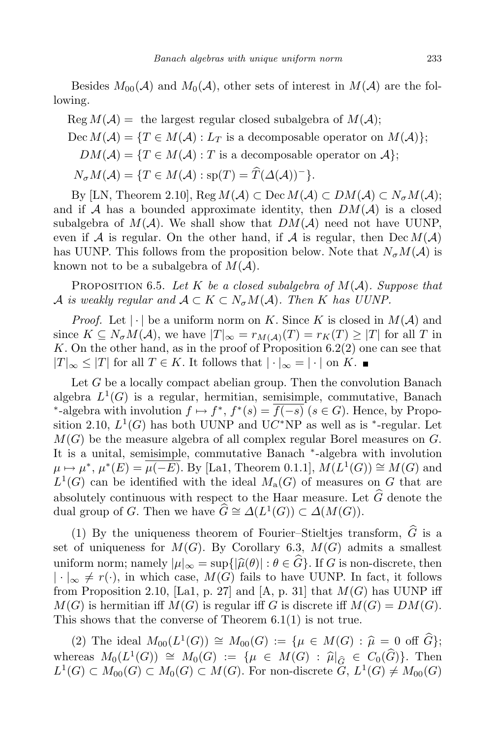Besides  $M_{00}(\mathcal{A})$  and  $M_0(\mathcal{A})$ , other sets of interest in  $M(\mathcal{A})$  are the following.

 $\text{Reg } M(\mathcal{A}) = \text{ the largest regular closed subalgebra of } M(\mathcal{A});$ Dec  $M(A) = \{T \in M(A) : L_T$  is a decomposable operator on  $M(A)$ };  $DM(A) = \{T \in M(A) : T \text{ is a decomposable operator on } A\};$  $N_{\sigma}M(\mathcal{A}) = \{T \in M(\mathcal{A}) : \text{sp}(T) = \widehat{T}(\mathcal{A}(\mathcal{A}))^{-}\}$ .

By [LN, Theorem 2.10], Reg  $M(A) \subset \text{Dec } M(A) \subset DM(A) \subset N_{\sigma}M(A);$ and if  $A$  has a bounded approximate identity, then  $DM(A)$  is a closed subalgebra of  $M(A)$ . We shall show that  $DM(A)$  need not have UUNP, even if *A* is regular. On the other hand, if *A* is regular, then  $\text{Dec } M(\mathcal{A})$ has UUNP. This follows from the proposition below. Note that  $N_{\sigma}M(\mathcal{A})$  is known not to be a subalgebra of  $M(A)$ .

Proposition 6.5. *Let K be a closed subalgebra of M*(*A*)*. Suppose that A is weakly* regular and  $A \subset K \subset N_{\sigma}M(A)$ . Then K has UUNP.

*Proof.* Let  $|\cdot|$  be a uniform norm on *K*. Since *K* is closed in  $M(\mathcal{A})$  and since  $K \subseteq N_{\sigma}M(\mathcal{A})$ , we have  $|T|_{\infty} = r_{M(\mathcal{A})}(T) = r_{K}(T) \geq |T|$  for all *T* in K. On the other hand, as in the proof of Proposition  $6.2(2)$  one can see that *|T*|∞ ≤ *|T*| for all *T* ∈ *K*. It follows that  $| \cdot |_{\infty} = | \cdot |$  on *K*.

Let *G* be a locally compact abelian group. Then the convolution Banach algebra  $L^1(G)$  is a regular, hermitian, semisimple, commutative, Banach <sup>*∗*</sup>-algebra with involution  $f \mapsto f^*$ ,  $f^*(s) = f(-s)$  ( $s \in G$ ). Hence, by Proposition 2.10,  $L^1(G)$  has both UUNP and UC<sup>\*</sup>NP as well as is <sup>\*</sup>-regular. Let *M*(*G*) be the measure algebra of all complex regular Borel measures on *G*. It is a unital, semisimple, commutative Banach *∗* -algebra with involution  $\mu \mapsto \mu^*, \mu^*(E) = \overline{\mu(-E)}$ . By [La1, Theorem 0.1.1],  $M(L^1(G)) \cong M(G)$  and  $L^1(G)$  can be identified with the ideal  $M_a(G)$  of measures on *G* that are absolutely continuous with respect to the Haar measure. Let  $\widehat{G}$  denote the dual group of *G*. Then we have  $\widehat{G} \cong \Delta(L^1(G)) \subset \Delta(M(G)).$ 

(1) By the uniqueness theorem of Fourier–Stieltjes transform,  $\hat{G}$  is a set of uniqueness for  $M(G)$ . By Corollary 6.3,  $M(G)$  admits a smallest uniform norm; namely  $|\mu|_{\infty} = \sup\{|\hat{\mu}(\theta)| : \theta \in \widehat{G}\}\)$ . If *G* is non-discrete, then  $| \cdot |_{∞}$  ≠ *r*(·), in which case, *M*(*G*) fails to have UUNP. In fact, it follows from Proposition 2.10, [La1, p. 27] and [A, p. 31] that  $M(G)$  has UUNP iff  $M(G)$  is hermitian iff  $M(G)$  is regular iff *G* is discrete iff  $M(G) = DM(G)$ . This shows that the converse of Theorem 6.1(1) is not true.

(2) The ideal *M*00(*L* 1 (*G*)) *<sup>∼</sup>*<sup>=</sup> *<sup>M</sup>*00(*G*) := *{<sup>µ</sup> <sup>∈</sup> <sup>M</sup>*(*G*) : *<sup>µ</sup>*<sup>b</sup> <sup>=</sup> <sup>0</sup> off *<sup>G</sup>*b*}*; whereas  $M_0(L^1(G)) \cong M_0(G) := \{ \mu \in M(G) : \hat{\mu}|_{\hat{G}} \in C_0(\hat{G}) \}.$  Then  $L^1(G) \subset M_{00}(G) \subset M_0(G) \subset M(G)$ . For non-discrete  $G, L^1(G) \neq M_{00}(G)$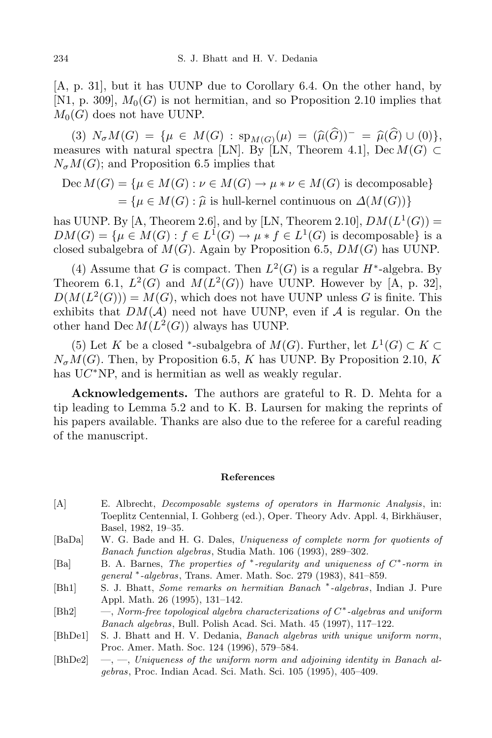[A, p. 31], but it has UUNP due to Corollary 6.4. On the other hand, by [N1, p. 309],  $M_0(G)$  is not hermitian, and so Proposition 2.10 implies that  $M_0(G)$  does not have UUNP.

 $N_{\sigma}M(G) = \{ \mu \in M(G) : \text{sp}_{M(G)}(\mu) = (\widehat{\mu}(G))^{-} = \widehat{\mu}(G) \cup (0) \},$ measures with natural spectra [LN]. By [LN, Theorem 4.1], Dec  $M(G) \subset$  $N_{\sigma}M(G)$ ; and Proposition 6.5 implies that

$$
Dec\ M(G) = \{ \mu \in M(G) : \nu \in M(G) \to \mu * \nu \in M(G) \text{ is decomposable} \}
$$

$$
= \{ \mu \in M(G) : \hat{\mu} \text{ is hull-kernel continuous on } \Delta(M(G)) \}
$$

has UUNP. By  $[A, Theorem 2.6]$ , and by  $[LN, Theorem 2.10]$ ,  $DM(L<sup>1</sup>(G)) =$  $DM(G) = \{ \mu \in M(G) : f \in L^1(G) \to \mu * f \in L^1(G) \text{ is decomposable} \}$  is a closed subalgebra of  $M(G)$ . Again by Proposition 6.5,  $DM(G)$  has UUNP.

(4) Assume that *G* is compact. Then  $L^2(G)$  is a regular *H*<sup>\*</sup>-algebra. By Theorem 6.1,  $L^2(G)$  and  $M(L^2(G))$  have UUNP. However by [A, p. 32],  $D(M(L<sup>2</sup>(G))) = M(G)$ , which does not have UUNP unless *G* is finite. This exhibits that  $DM(A)$  need not have UUNP, even if  $A$  is regular. On the other hand  $\text{Dec } M(L^2(G))$  always has UUNP.

(5) Let *K* be a closed <sup>\*</sup>-subalgebra of *M*(*G*). Further, let  $L^1(G) \subset K \subset$  $N_{\sigma}M(G)$ . Then, by Proposition 6.5, *K* has UUNP. By Proposition 2.10, *K* has UC<sup>\*</sup>NP, and is hermitian as well as weakly regular.

**Acknowledgements.** The authors are grateful to R. D. Mehta for a tip leading to Lemma 5.2 and to K. B. Laursen for making the reprints of his papers available. Thanks are also due to the referee for a careful reading of the manuscript.

## **References**

- [A] E. Albrecht, *Decomposable systems of operators in Harmonic Analysis*, in: Toeplitz Centennial, I. Gohberg (ed.), Oper. Theory Adv. Appl. 4, Birkhäuser, Basel, 1982, 19–35.
- [BaDa] W. G. Bade and H. G. Dales, *Uniqueness of complete norm for quotients of Banach function algebras*, Studia Math. 106 (1993), 289–302.
- [Ba] B. A. Barnes, *The properties of ∗ -regularity and uniqueness of C ∗ -norm in general ∗ -algebras*, Trans. Amer. Math. Soc. 279 (1983), 841–859.
- [Bh1] S. J. Bhatt, *Some remarks on hermitian Banach ∗ -algebras*, Indian J. Pure Appl. Math. 26 (1995), 131–142.
- [Bh2] —, *Norm-free topological algebra characterizations of C ∗ -algebras and uniform Banach algebras*, Bull. Polish Acad. Sci. Math. 45 (1997), 117–122.
- [BhDe1] S. J. Bhatt and H. V. Dedania, *Banach algebras with unique uniform norm*, Proc. Amer. Math. Soc. 124 (1996), 579–584.
- [BhDe2] —, —, *Uniqueness of the uniform norm and adjoining identity in Banach algebras*, Proc. Indian Acad. Sci. Math. Sci. 105 (1995), 405–409.